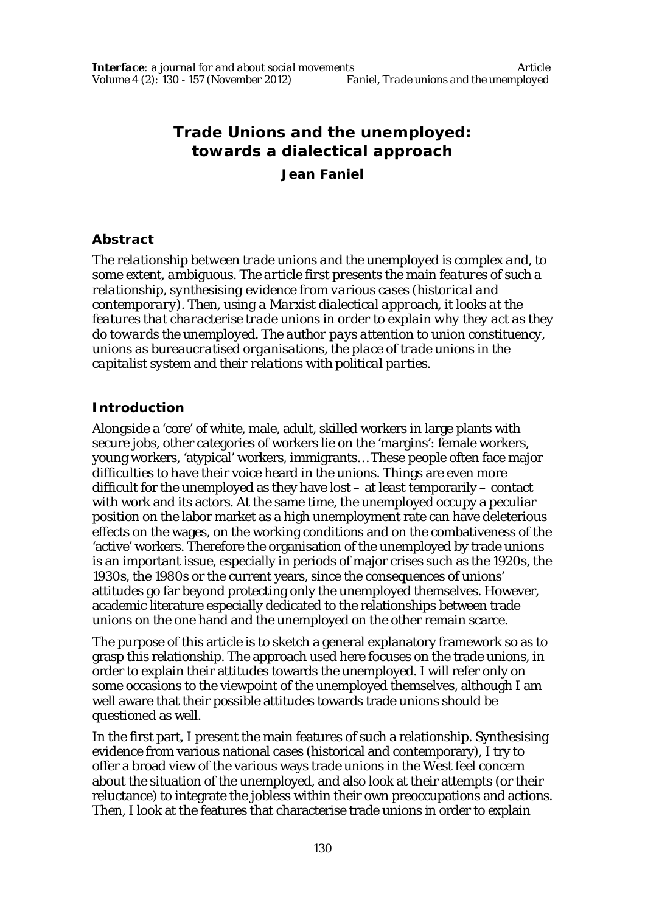# **Trade Unions and the unemployed: towards a dialectical approach**

**Jean Faniel**

#### **Abstract**

*The relationship between trade unions and the unemployed is complex and, to some extent, ambiguous. The article first presents the main features of such a relationship, synthesising evidence from various cases (historical and contemporary). Then, using a Marxist dialectical approach, it looks at the features that characterise trade unions in order to explain why they act as they do towards the unemployed. The author pays attention to union constituency, unions as bureaucratised organisations, the place of trade unions in the capitalist system and their relations with political parties.*

# **Introduction**

Alongside a 'core' of white, male, adult, skilled workers in large plants with secure jobs, other categories of workers lie on the 'margins': female workers, young workers, 'atypical' workers, immigrants… These people often face major difficulties to have their voice heard in the unions. Things are even more difficult for the unemployed as they have lost – at least temporarily – contact with work and its actors. At the same time, the unemployed occupy a peculiar position on the labor market as a high unemployment rate can have deleterious effects on the wages, on the working conditions and on the combativeness of the 'active' workers. Therefore the organisation of the unemployed by trade unions is an important issue, especially in periods of major crises such as the 1920s, the 1930s, the 1980s or the current years, since the consequences of unions' attitudes go far beyond protecting only the unemployed themselves. However, academic literature especially dedicated to the relationships between trade unions on the one hand and the unemployed on the other remain scarce.

The purpose of this article is to sketch a general explanatory framework so as to grasp this relationship. The approach used here focuses on the trade unions, in order to explain their attitudes towards the unemployed. I will refer only on some occasions to the viewpoint of the unemployed themselves, although I am well aware that their possible attitudes towards trade unions should be questioned as well.

In the first part, I present the main features of such a relationship. Synthesising evidence from various national cases (historical and contemporary), I try to offer a broad view of the various ways trade unions in the West feel concern about the situation of the unemployed, and also look at their attempts (or their reluctance) to integrate the jobless within their own preoccupations and actions. Then, I look at the features that characterise trade unions in order to explain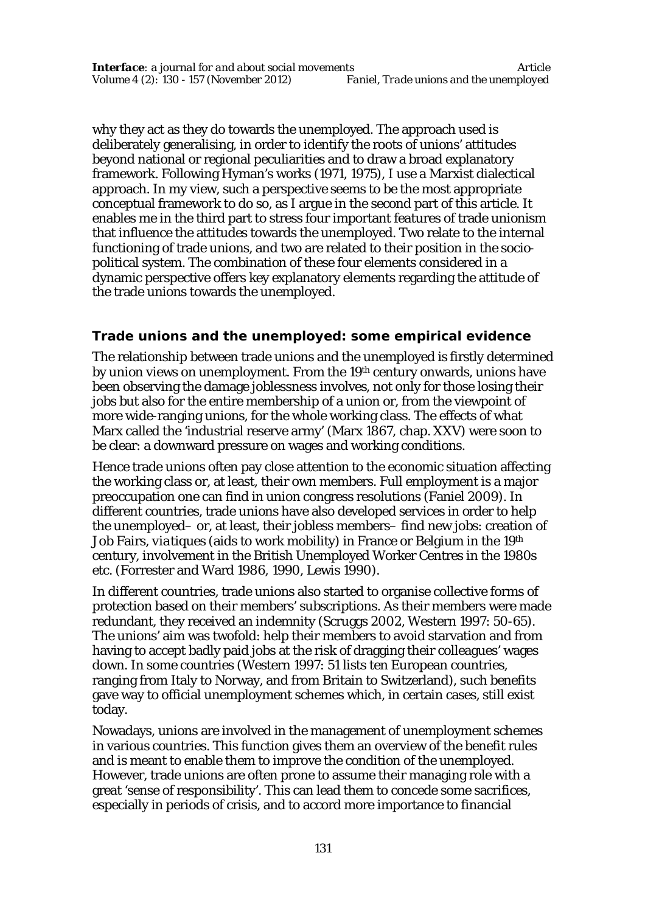why they act as they do towards the unemployed. The approach used is deliberately generalising, in order to identify the roots of unions' attitudes beyond national or regional peculiarities and to draw a broad explanatory framework. Following Hyman's works (1971, 1975), I use a Marxist dialectical approach. In my view, such a perspective seems to be the most appropriate conceptual framework to do so, as I argue in the second part of this article. It enables me in the third part to stress four important features of trade unionism that influence the attitudes towards the unemployed. Two relate to the internal functioning of trade unions, and two are related to their position in the sociopolitical system. The combination of these four elements considered in a dynamic perspective offers key explanatory elements regarding the attitude of the trade unions towards the unemployed.

# **Trade unions and the unemployed: some empirical evidence**

The relationship between trade unions and the unemployed is firstly determined by union views on unemployment. From the 19th century onwards, unions have been observing the damage joblessness involves, not only for those losing their jobs but also for the entire membership of a union or, from the viewpoint of more wide-ranging unions, for the whole working class. The effects of what Marx called the 'industrial reserve army' (Marx 1867, chap. XXV) were soon to be clear: a downward pressure on wages and working conditions.

Hence trade unions often pay close attention to the economic situation affecting the working class or, at least, their own members. Full employment is a major preoccupation one can find in union congress resolutions (Faniel 2009). In different countries, trade unions have also developed services in order to help the unemployed– or, at least, their jobless members– find new jobs: creation of Job Fairs, *viatiques* (aids to work mobility) in France or Belgium in the 19th century, involvement in the British Unemployed Worker Centres in the 1980s etc. (Forrester and Ward 1986, 1990, Lewis 1990).

In different countries, trade unions also started to organise collective forms of protection based on their members' subscriptions. As their members were made redundant, they received an indemnity (Scruggs 2002, Western 1997: 50-65). The unions' aim was twofold: help their members to avoid starvation and from having to accept badly paid jobs at the risk of dragging their colleagues' wages down. In some countries (Western 1997: 51 lists ten European countries, ranging from Italy to Norway, and from Britain to Switzerland), such benefits gave way to official unemployment schemes which, in certain cases, still exist today.

Nowadays, unions are involved in the management of unemployment schemes in various countries. This function gives them an overview of the benefit rules and is meant to enable them to improve the condition of the unemployed. However, trade unions are often prone to assume their managing role with a great 'sense of responsibility'. This can lead them to concede some sacrifices, especially in periods of crisis, and to accord more importance to financial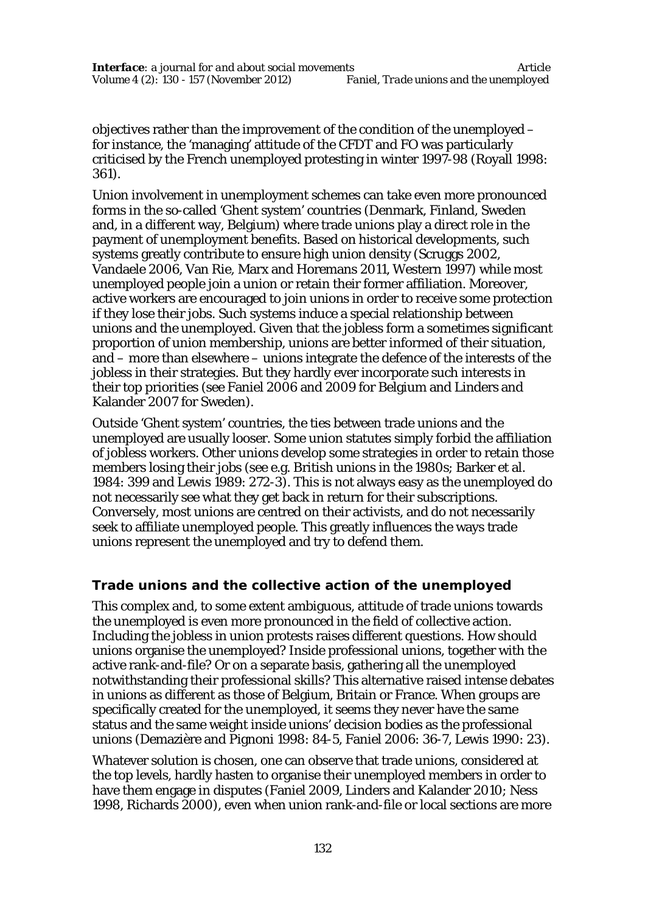objectives rather than the improvement of the condition of the unemployed – for instance, the 'managing' attitude of the CFDT and FO was particularly criticised by the French unemployed protesting in winter 1997-98 (Royall 1998: 361).

Union involvement in unemployment schemes can take even more pronounced forms in the so-called 'Ghent system' countries (Denmark, Finland, Sweden and, in a different way, Belgium) where trade unions play a direct role in the payment of unemployment benefits. Based on historical developments, such systems greatly contribute to ensure high union density (Scruggs 2002, Vandaele 2006, Van Rie, Marx and Horemans 2011, Western 1997) while most unemployed people join a union or retain their former affiliation. Moreover, active workers are encouraged to join unions in order to receive some protection if they lose their jobs. Such systems induce a special relationship between unions and the unemployed. Given that the jobless form a sometimes significant proportion of union membership, unions are better informed of their situation, and – more than elsewhere – unions integrate the defence of the interests of the jobless in their strategies. But they hardly ever incorporate such interests in their top priorities (see Faniel 2006 and 2009 for Belgium and Linders and Kalander 2007 for Sweden).

Outside 'Ghent system' countries, the ties between trade unions and the unemployed are usually looser. Some union statutes simply forbid the affiliation of jobless workers. Other unions develop some strategies in order to retain those members losing their jobs (see e.g. British unions in the 1980s; Barker et al. 1984: 399 and Lewis 1989: 272-3). This is not always easy as the unemployed do not necessarily see what they get back in return for their subscriptions. Conversely, most unions are centred on their activists, and do not necessarily seek to affiliate unemployed people. This greatly influences the ways trade unions represent the unemployed and try to defend them.

# **Trade unions and the collective action of the unemployed**

This complex and, to some extent ambiguous, attitude of trade unions towards the unemployed is even more pronounced in the field of collective action. Including the jobless in union protests raises different questions. How should unions organise the unemployed? Inside professional unions, together with the active rank-and-file? Or on a separate basis, gathering all the unemployed notwithstanding their professional skills? This alternative raised intense debates in unions as different as those of Belgium, Britain or France. When groups are specifically created for the unemployed, it seems they never have the same status and the same weight inside unions' decision bodies as the professional unions (Demazière and Pignoni 1998: 84-5, Faniel 2006: 36-7, Lewis 1990: 23).

Whatever solution is chosen, one can observe that trade unions, considered at the top levels, hardly hasten to organise their unemployed members in order to have them engage in disputes (Faniel 2009, Linders and Kalander 2010; Ness 1998, Richards 2000), even when union rank-and-file or local sections are more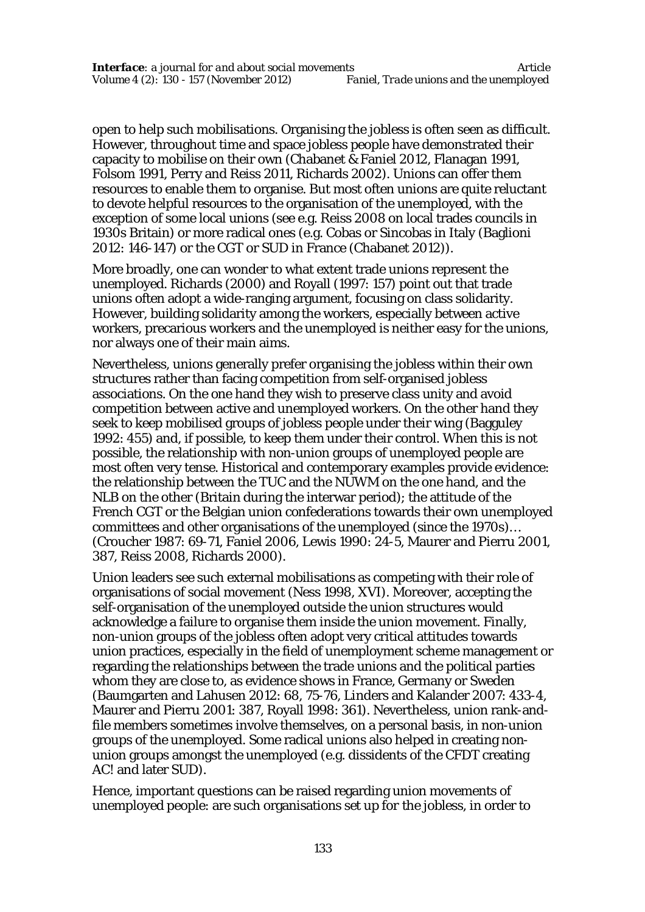open to help such mobilisations. Organising the jobless is often seen as difficult. However, throughout time and space jobless people have demonstrated their capacity to mobilise on their own (Chabanet & Faniel 2012, Flanagan 1991, Folsom 1991, Perry and Reiss 2011, Richards 2002). Unions can offer them resources to enable them to organise. But most often unions are quite reluctant to devote helpful resources to the organisation of the unemployed, with the exception of some local unions (see e.g. Reiss 2008 on local trades councils in 1930s Britain) or more radical ones (e.g. Cobas or Sincobas in Italy (Baglioni 2012: 146-147) or the CGT or SUD in France (Chabanet 2012)).

More broadly, one can wonder to what extent trade unions represent the unemployed. Richards (2000) and Royall (1997: 157) point out that trade unions often adopt a wide-ranging argument, focusing on class solidarity. However, building solidarity among the workers, especially between active workers, precarious workers and the unemployed is neither easy for the unions, nor always one of their main aims.

Nevertheless, unions generally prefer organising the jobless within their own structures rather than facing competition from self-organised jobless associations. On the one hand they wish to preserve class unity and avoid competition between active and unemployed workers. On the other hand they seek to keep mobilised groups of jobless people under their wing (Bagguley 1992: 455) and, if possible, to keep them under their control. When this is not possible, the relationship with non-union groups of unemployed people are most often very tense. Historical and contemporary examples provide evidence: the relationship between the TUC and the NUWM on the one hand, and the NLB on the other (Britain during the interwar period); the attitude of the French CGT or the Belgian union confederations towards their own unemployed committees and other organisations of the unemployed (since the 1970s)… (Croucher 1987: 69-71, Faniel 2006, Lewis 1990: 24-5, Maurer and Pierru 2001, 387, Reiss 2008, Richards 2000).

Union leaders see such external mobilisations as competing with their role of organisations of social movement (Ness 1998, XVI). Moreover, accepting the self-organisation of the unemployed outside the union structures would acknowledge a failure to organise them inside the union movement. Finally, non-union groups of the jobless often adopt very critical attitudes towards union practices, especially in the field of unemployment scheme management or regarding the relationships between the trade unions and the political parties whom they are close to, as evidence shows in France, Germany or Sweden (Baumgarten and Lahusen 2012: 68, 75-76, Linders and Kalander 2007: 433-4, Maurer and Pierru 2001: 387, Royall 1998: 361). Nevertheless, union rank-andfile members sometimes involve themselves, on a personal basis, in non-union groups of the unemployed. Some radical unions also helped in creating nonunion groups amongst the unemployed (e.g. dissidents of the CFDT creating AC! and later SUD).

Hence, important questions can be raised regarding union movements of unemployed people: are such organisations set up *for* the jobless, in order to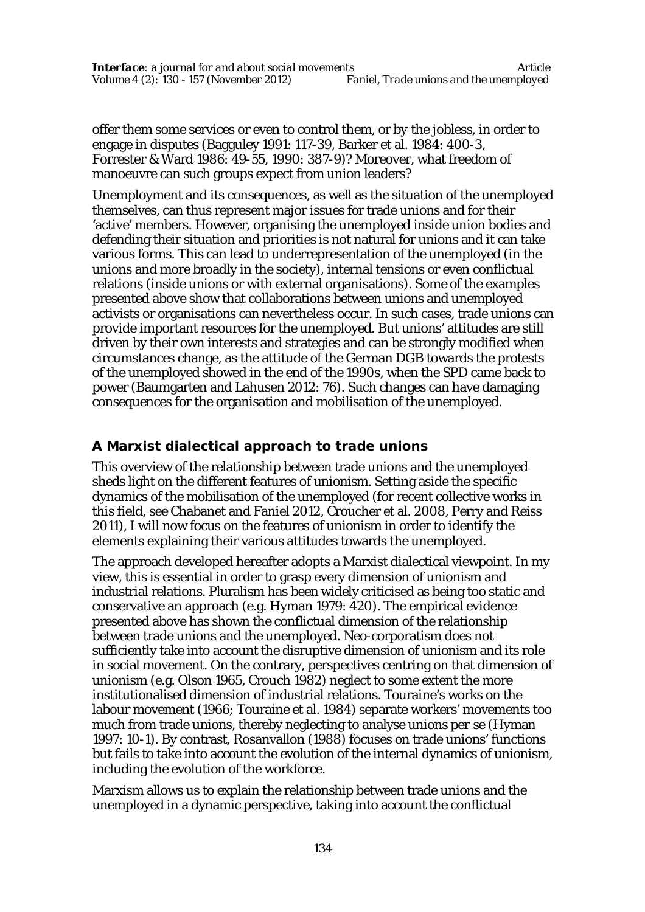offer them some services or even to control them, or *by* the jobless, in order to engage in disputes (Bagguley 1991: 117-39, Barker et al. 1984: 400-3, Forrester & Ward 1986: 49-55, 1990: 387-9)? Moreover, what freedom of manoeuvre can such groups expect from union leaders?

Unemployment and its consequences, as well as the situation of the unemployed themselves, can thus represent major issues for trade unions and for their 'active' members. However, organising the unemployed inside union bodies and defending their situation and priorities is not natural for unions and it can take various forms. This can lead to underrepresentation of the unemployed (in the unions and more broadly in the society), internal tensions or even conflictual relations (inside unions or with external organisations). Some of the examples presented above show that collaborations between unions and unemployed activists or organisations can nevertheless occur. In such cases, trade unions can provide important resources for the unemployed. But unions' attitudes are still driven by their own interests and strategies and can be strongly modified when circumstances change, as the attitude of the German DGB towards the protests of the unemployed showed in the end of the 1990s, when the SPD came back to power (Baumgarten and Lahusen 2012: 76). Such changes can have damaging consequences for the organisation and mobilisation of the unemployed.

# **A Marxist dialectical approach to trade unions**

This overview of the relationship between trade unions and the unemployed sheds light on the different features of unionism. Setting aside the specific dynamics of the mobilisation of the unemployed (for recent collective works in this field, see Chabanet and Faniel 2012, Croucher et al. 2008, Perry and Reiss 2011), I will now focus on the features of unionism in order to identify the elements explaining their various attitudes towards the unemployed.

The approach developed hereafter adopts a Marxist dialectical viewpoint. In my view, this is essential in order to grasp every dimension of unionism and industrial relations. Pluralism has been widely criticised as being too static and conservative an approach (e.g. Hyman 1979: 420). The empirical evidence presented above has shown the conflictual dimension of the relationship between trade unions and the unemployed. Neo-corporatism does not sufficiently take into account the disruptive dimension of unionism and its role in social movement. On the contrary, perspectives centring on that dimension of unionism (e.g. Olson 1965, Crouch 1982) neglect to some extent the more institutionalised dimension of industrial relations. Touraine's works on the labour movement (1966; Touraine et al. 1984) separate workers' movements too much from trade unions, thereby neglecting to analyse unions *per se* (Hyman 1997: 10-1). By contrast, Rosanvallon (1988) focuses on trade unions' functions but fails to take into account the evolution of the internal dynamics of unionism, including the evolution of the workforce.

Marxism allows us to explain the relationship between trade unions and the unemployed in a dynamic perspective, taking into account the conflictual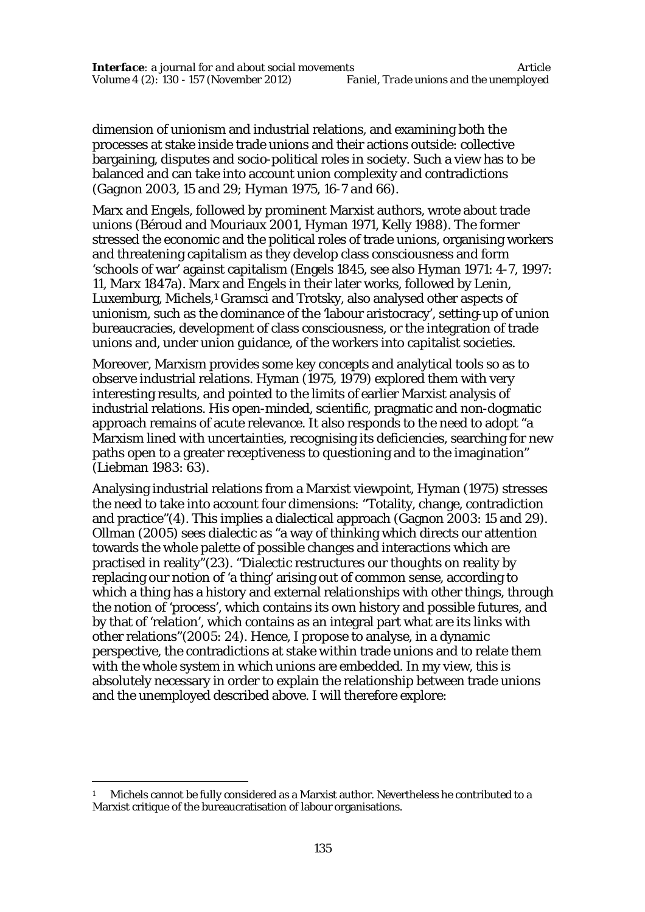dimension of unionism and industrial relations, and examining both the processes at stake *inside* trade unions and their actions *outside*: collective bargaining, disputes and socio-political roles in society. Such a view has to be balanced and can take into account union complexity and contradictions (Gagnon 2003, 15 and 29; Hyman 1975, 16-7 and 66).

Marx and Engels, followed by prominent Marxist authors, wrote about trade unions (Béroud and Mouriaux 2001, Hyman 1971, Kelly 1988). The former stressed the economic and the political roles of trade unions, organising workers and threatening capitalism as they develop class consciousness and form 'schools of war' against capitalism (Engels 1845, see also Hyman 1971: 4-7, 1997: 11, Marx 1847a). Marx and Engels in their later works, followed by Lenin, Luxemburg, Michels,<sup>1</sup> Gramsci and Trotsky, also analysed other aspects of unionism, such as the dominance of the 'labour aristocracy', setting-up of union bureaucracies, development of class consciousness, or the integration of trade unions and, under union guidance, of the workers into capitalist societies.

Moreover, Marxism provides some key concepts and analytical tools so as to observe industrial relations. Hyman (1975, 1979) explored them with very interesting results, and pointed to the limits of earlier Marxist analysis of industrial relations. His open-minded, scientific, pragmatic and non-dogmatic approach remains of acute relevance. It also responds to the need to adopt "a Marxism lined with uncertainties, recognising its deficiencies, searching for new paths open to a greater receptiveness to questioning and to the imagination" (Liebman 1983: 63).

Analysing industrial relations from a Marxist viewpoint, Hyman (1975) stresses the need to take into account four dimensions: "Totality, change, contradiction and practice"(4). This implies a dialectical approach (Gagnon 2003: 15 and 29). Ollman (2005) sees dialectic as "a way of thinking which directs our attention towards the whole palette of possible changes and interactions which are practised in reality"(23). "Dialectic restructures our thoughts on reality by replacing our notion of 'a thing' arising out of common sense, according to which a thing has a history and external relationships with other things, through the notion of 'process', which contains its own history and possible futures, and by that of 'relation', which contains as an integral part what are its links with other relations"(2005: 24). Hence, I propose to analyse, in a dynamic perspective, the contradictions at stake *within* trade unions and to relate them with the whole system *in which* unions are embedded. In my view, this is absolutely necessary in order to explain the relationship between trade unions and the unemployed described above. I will therefore explore:

 $\overline{a}$ 

<sup>1</sup> Michels cannot be fully considered as a Marxist author. Nevertheless he contributed to a Marxist critique of the bureaucratisation of labour organisations.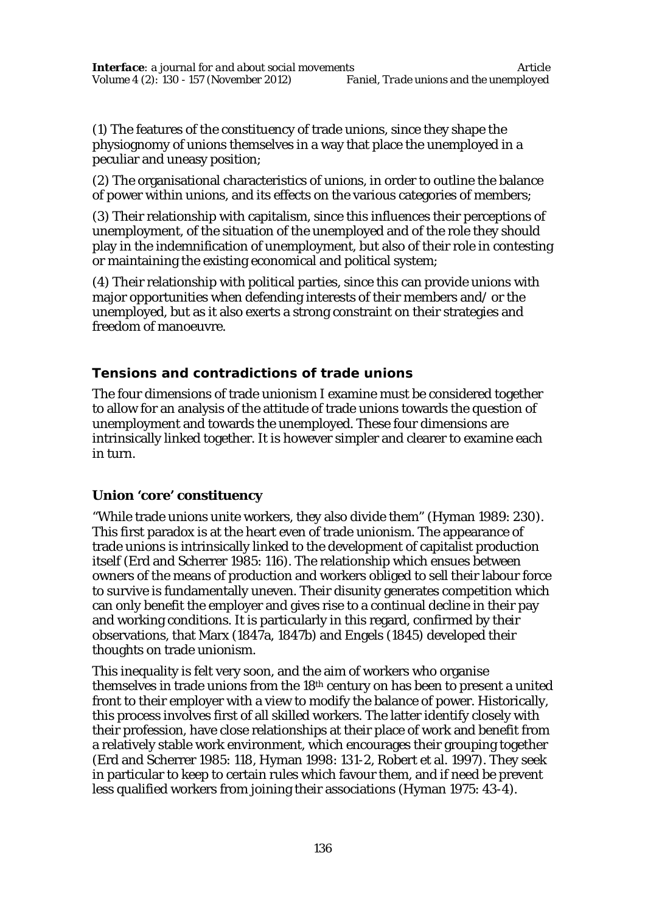(1) The features of the constituency of trade unions, since they shape the physiognomy of unions themselves in a way that place the unemployed in a peculiar and uneasy position;

(2) The organisational characteristics of unions, in order to outline the balance of power within unions, and its effects on the various categories of members;

(3) Their relationship with capitalism, since this influences their perceptions of unemployment, of the situation of the unemployed and of the role they should play in the indemnification of unemployment, but also of their role in contesting or maintaining the existing economical and political system;

(4) Their relationship with political parties, since this can provide unions with major opportunities when defending interests of their members and/ or the unemployed, but as it also exerts a strong constraint on their strategies and freedom of manoeuvre.

# **Tensions and contradictions of trade unions**

The four dimensions of trade unionism I examine must be considered together to allow for an analysis of the attitude of trade unions towards the question of unemployment and towards the unemployed. These four dimensions are intrinsically linked together. It is however simpler and clearer to examine each in turn.

# **Union 'core' constituency**

"While trade unions unite workers, they also divide them" (Hyman 1989: 230). This first paradox is at the heart even of trade unionism. The appearance of trade unions is intrinsically linked to the development of capitalist production itself (Erd and Scherrer 1985: 116). The relationship which ensues between owners of the means of production and workers obliged to sell their labour force to survive is fundamentally uneven. Their disunity generates competition which can only benefit the employer and gives rise to a continual decline in their pay and working conditions. It is particularly in this regard, confirmed by their observations, that Marx (1847a, 1847b) and Engels (1845) developed their thoughts on trade unionism.

This inequality is felt very soon, and the aim of workers who organise themselves in trade unions from the 18<sup>th</sup> century on has been to present a united front to their employer with a view to modify the balance of power. Historically, this process involves first of all skilled workers. The latter identify closely with their profession, have close relationships at their place of work and benefit from a relatively stable work environment, which encourages their grouping together (Erd and Scherrer 1985: 118, Hyman 1998: 131-2, Robert et al. 1997). They seek in particular to keep to certain rules which favour them, and if need be prevent less qualified workers from joining their associations (Hyman 1975: 43-4).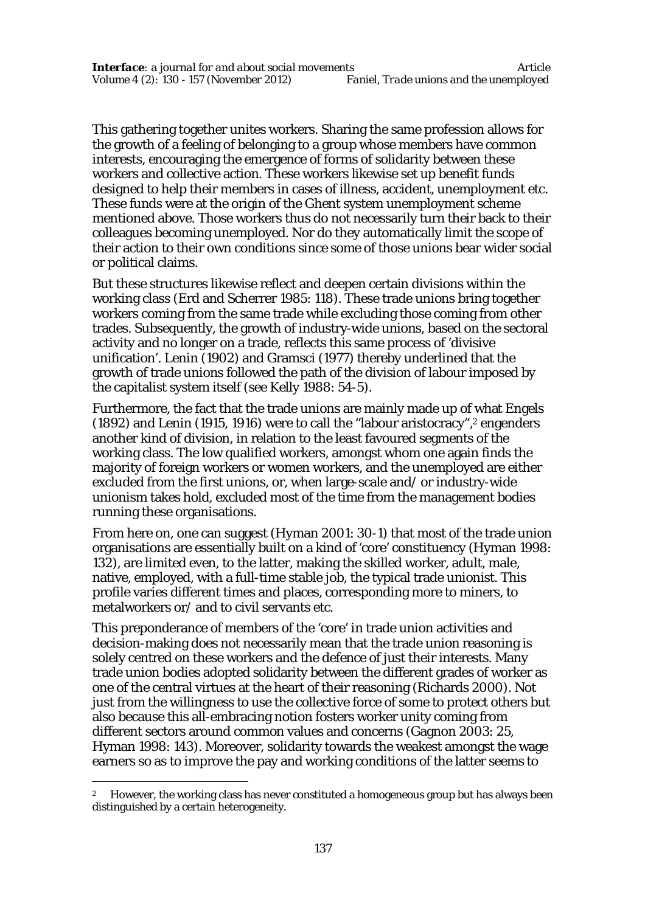This gathering together unites workers. Sharing the same profession allows for the growth of a feeling of belonging to a group whose members have common interests, encouraging the emergence of forms of solidarity between these workers and collective action. These workers likewise set up benefit funds designed to help their members in cases of illness, accident, unemployment etc. These funds were at the origin of the Ghent system unemployment scheme mentioned above. Those workers thus do not necessarily turn their back to their colleagues becoming unemployed. Nor do they automatically limit the scope of their action to their own conditions since some of those unions bear wider social or political claims.

But these structures likewise reflect and deepen certain divisions within the working class (Erd and Scherrer 1985: 118). These trade unions bring together workers coming from the same trade while excluding those coming from other trades. Subsequently, the growth of industry-wide unions, based on the sectoral activity and no longer on a trade, reflects this same process of 'divisive unification'. Lenin (1902) and Gramsci (1977) thereby underlined that the growth of trade unions followed the path of the division of labour imposed by the capitalist system itself (see Kelly 1988: 54-5).

Furthermore, the fact that the trade unions are mainly made up of what Engels (1892) and Lenin (1915, 1916) were to call the "labour aristocracy",<sup>2</sup> engenders another kind of division, in relation to the least favoured segments of the working class. The low qualified workers, amongst whom one again finds the majority of foreign workers or women workers, and the unemployed are either excluded from the first unions, or, when large-scale and/ or industry-wide unionism takes hold, excluded most of the time from the management bodies running these organisations.

From here on, one can suggest (Hyman 2001: 30-1) that most of the trade union organisations are essentially built on a kind of 'core' constituency (Hyman 1998: 132), are limited even, to the latter, making the skilled worker, adult, male, native, employed, with a full-time stable job, the typical trade unionist. This profile varies different times and places, corresponding more to miners, to metalworkers or/ and to civil servants etc.

This preponderance of members of the 'core' in trade union activities and decision-making does not necessarily mean that the trade union reasoning is solely centred on these workers and the defence of just their interests. Many trade union bodies adopted solidarity between the different grades of worker as one of the central virtues at the heart of their reasoning (Richards 2000). Not just from the willingness to use the collective force of some to protect others but also because this all-embracing notion fosters worker unity coming from different sectors around common values and concerns (Gagnon 2003: 25, Hyman 1998: 143). Moreover, solidarity towards the weakest amongst the wage earners so as to improve the pay and working conditions of the latter seems to

 $\overline{a}$ 

<sup>2</sup> However, the working class has never constituted a homogeneous group but has always been distinguished by a certain heterogeneity.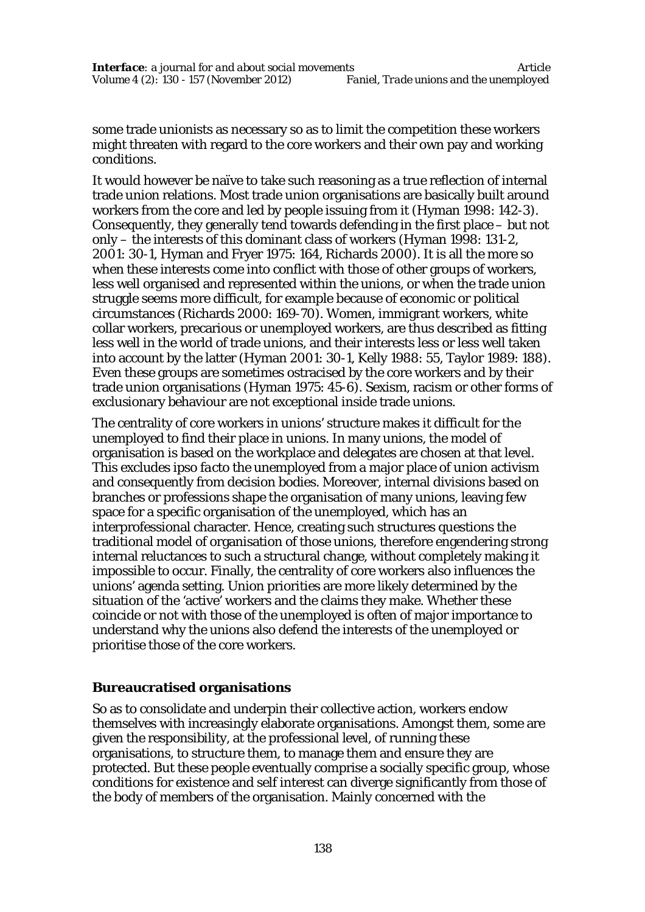some trade unionists as necessary so as to limit the competition these workers might threaten with regard to the core workers and their own pay and working conditions.

It would however be naïve to take such reasoning as a true reflection of internal trade union relations. Most trade union organisations are basically built around workers from the core and led by people issuing from it (Hyman 1998: 142-3). Consequently, they generally tend towards defending in the first place – but not only – the interests of this dominant class of workers (Hyman 1998: 131-2, 2001: 30-1, Hyman and Fryer 1975: 164, Richards 2000). It is all the more so when these interests come into conflict with those of other groups of workers, less well organised and represented within the unions, or when the trade union struggle seems more difficult, for example because of economic or political circumstances (Richards 2000: 169-70). Women, immigrant workers, white collar workers, precarious or unemployed workers, are thus described as fitting less well in the world of trade unions, and their interests less or less well taken into account by the latter (Hyman 2001: 30-1, Kelly 1988: 55, Taylor 1989: 188). Even these groups are sometimes ostracised by the core workers and by their trade union organisations (Hyman 1975: 45-6). Sexism, racism or other forms of exclusionary behaviour are not exceptional inside trade unions.

The centrality of core workers in unions' structure makes it difficult for the unemployed to find their place in unions. In many unions, the model of organisation is based on the workplace and delegates are chosen at that level. This excludes *ipso facto* the unemployed from a major place of union activism and consequently from decision bodies. Moreover, internal divisions based on branches or professions shape the organisation of many unions, leaving few space for a specific organisation of the unemployed, which has an interprofessional character. Hence, creating such structures questions the traditional model of organisation of those unions, therefore engendering strong internal reluctances to such a structural change, without completely making it impossible to occur. Finally, the centrality of core workers also influences the unions' agenda setting. Union priorities are more likely determined by the situation of the 'active' workers and the claims they make. Whether these coincide or not with those of the unemployed is often of major importance to understand why the unions also defend the interests of the unemployed or prioritise those of the core workers.

# **Bureaucratised organisations**

So as to consolidate and underpin their collective action, workers endow themselves with increasingly elaborate organisations. Amongst them, some are given the responsibility, at the professional level, of running these organisations, to structure them, to manage them and ensure they are protected. But these people eventually comprise a socially specific group, whose conditions for existence and self interest can diverge significantly from those of the body of members of the organisation. Mainly concerned with the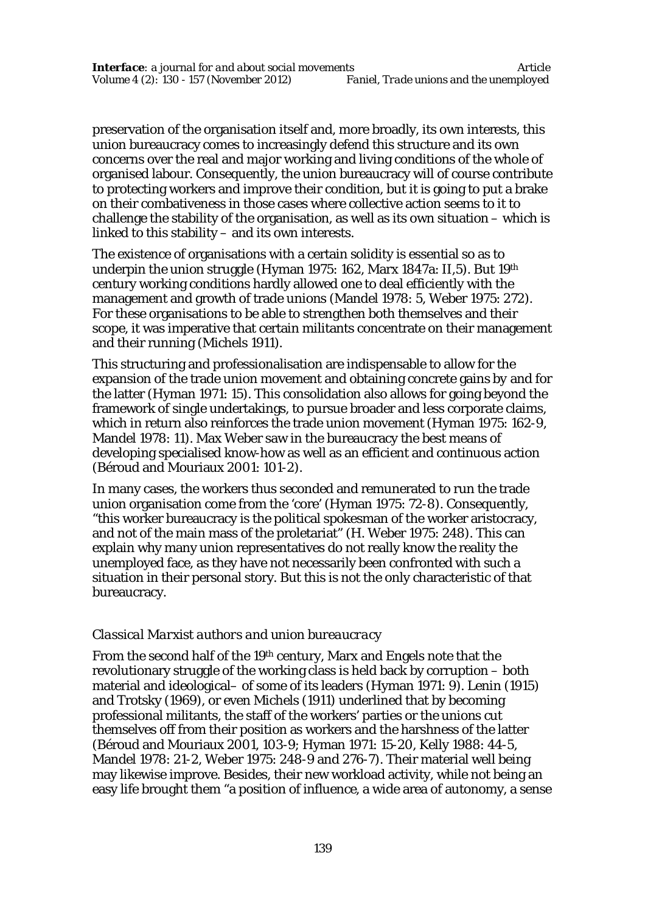preservation of the organisation itself and, more broadly, its own interests, this union bureaucracy comes to increasingly defend this structure and its own concerns over the real and major working and living conditions of the whole of organised labour. Consequently, the union bureaucracy will of course contribute to protecting workers and improve their condition, but it is going to put a brake on their combativeness in those cases where collective action seems to it to challenge the stability of the organisation, as well as its own situation – which is linked to this stability – and its own interests.

The existence of organisations with a certain solidity is essential so as to underpin the union struggle (Hyman 1975: 162, Marx 1847a: II,5). But 19th century working conditions hardly allowed one to deal efficiently with the management and growth of trade unions (Mandel 1978: 5, Weber 1975: 272). For these organisations to be able to strengthen both themselves and their scope, it was imperative that certain militants concentrate on their management and their running (Michels 1911).

This structuring and professionalisation are indispensable to allow for the expansion of the trade union movement and obtaining concrete gains *by* and *for* the latter (Hyman 1971: 15). This consolidation also allows for going beyond the framework of single undertakings, to pursue broader and less corporate claims, which in return also reinforces the trade union movement (Hyman 1975: 162-9, Mandel 1978: 11). Max Weber saw in the bureaucracy the best means of developing specialised know-how as well as an efficient and continuous action (Béroud and Mouriaux 2001: 101-2).

In many cases, the workers thus seconded and remunerated to run the trade union organisation come from the 'core' (Hyman 1975: 72-8). Consequently, "this worker bureaucracy is the political spokesman of the worker aristocracy, and not of the main mass of the proletariat" (H. Weber 1975: 248). This can explain why many union representatives do not really know the reality the unemployed face, as they have not necessarily been confronted with such a situation in their personal story. But this is not the only characteristic of that bureaucracy.

# *Classical Marxist authors and union bureaucracy*

From the second half of the 19th century, Marx and Engels note that the revolutionary struggle of the working class is held back by corruption – both material and ideological– of some of its leaders (Hyman 1971: 9). Lenin (1915) and Trotsky (1969), or even Michels (1911) underlined that by becoming professional militants, the staff of the workers' parties or the unions cut themselves off from their position as workers and the harshness of the latter (Béroud and Mouriaux 2001, 103-9; Hyman 1971: 15-20, Kelly 1988: 44-5, Mandel 1978: 21-2, Weber 1975: 248-9 and 276-7). Their material well being may likewise improve. Besides, their new workload activity, while not being an easy life brought them "a position of influence, a wide area of autonomy, a sense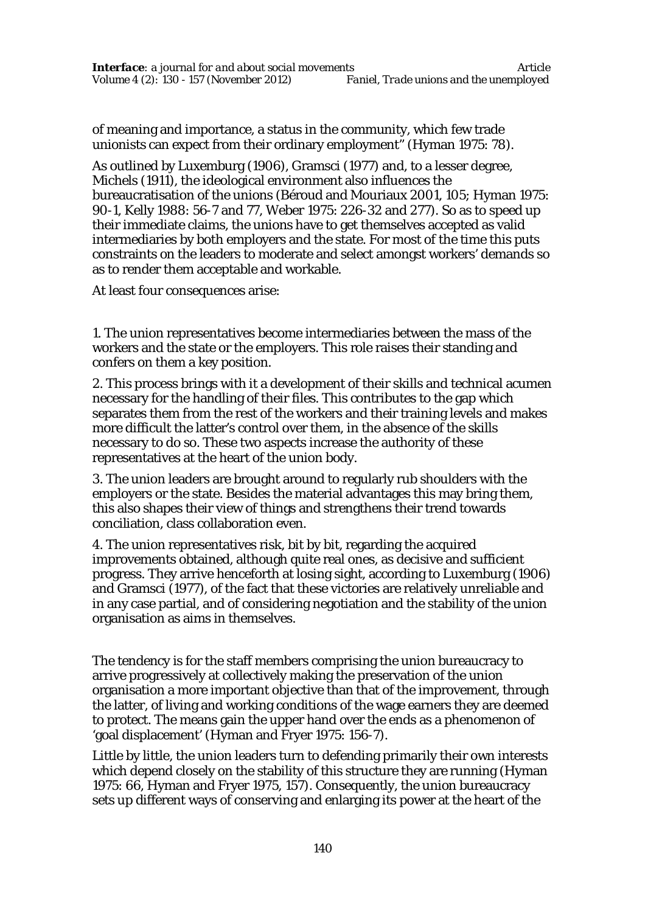of meaning and importance, a status in the community, which few trade unionists can expect from their ordinary employment" (Hyman 1975: 78).

As outlined by Luxemburg (1906), Gramsci (1977) and, to a lesser degree, Michels (1911), the ideological environment also influences the bureaucratisation of the unions (Béroud and Mouriaux 2001, 105; Hyman 1975: 90-1, Kelly 1988: 56-7 and 77, Weber 1975: 226-32 and 277). So as to speed up their immediate claims, the unions have to get themselves accepted as valid intermediaries by both employers and the state. For most of the time this puts constraints on the leaders to moderate and select amongst workers' demands so as to render them acceptable and workable.

At least four consequences arise:

1. The union representatives become intermediaries between the mass of the workers and the state or the employers. This role raises their standing and confers on them a key position.

2. This process brings with it a development of their skills and technical acumen necessary for the handling of their files. This contributes to the gap which separates them from the rest of the workers and their training levels and makes more difficult the latter's control over them, in the absence of the skills necessary to do so. These two aspects increase the authority of these representatives at the heart of the union body.

3. The union leaders are brought around to regularly rub shoulders with the employers or the state. Besides the material advantages this may bring them, this also shapes their view of things and strengthens their trend towards conciliation, class collaboration even.

4. The union representatives risk, bit by bit, regarding the acquired improvements obtained, although quite real ones, as decisive and sufficient progress. They arrive henceforth at losing sight, according to Luxemburg (1906) and Gramsci (1977), of the fact that these victories are relatively unreliable and in any case partial, and of considering negotiation and the stability of the union organisation as aims in themselves.

The tendency is for the staff members comprising the union bureaucracy to arrive progressively at collectively making the preservation of the union organisation a more important objective than that of the improvement, through the latter, of living and working conditions of the wage earners they are deemed to protect. The means gain the upper hand over the ends as a phenomenon of 'goal displacement' (Hyman and Fryer 1975: 156-7).

Little by little, the union leaders turn to defending primarily their own interests which depend closely on the stability of this structure they are running (Hyman 1975: 66, Hyman and Fryer 1975, 157). Consequently, the union bureaucracy sets up different ways of conserving and enlarging its power at the heart of the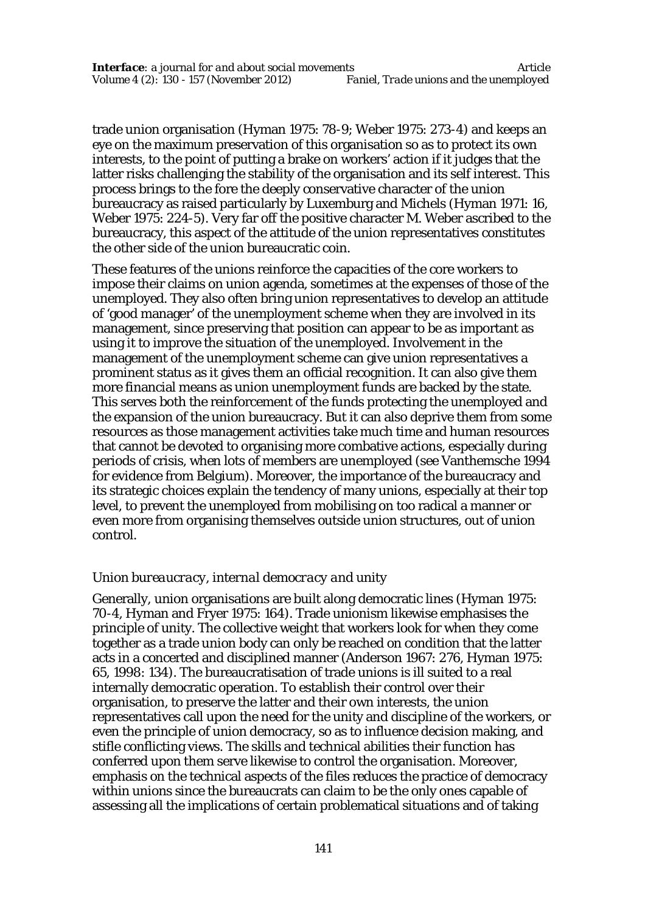trade union organisation (Hyman 1975: 78-9; Weber 1975: 273-4) and keeps an eye on the maximum preservation of this organisation so as to protect its own interests, to the point of putting a brake on workers' action if it judges that the latter risks challenging the stability of the organisation and its self interest. This process brings to the fore the deeply conservative character of the union bureaucracy as raised particularly by Luxemburg and Michels (Hyman 1971: 16, Weber 1975: 224-5). Very far off the positive character M. Weber ascribed to the bureaucracy, this aspect of the attitude of the union representatives constitutes the other side of the union bureaucratic coin.

These features of the unions reinforce the capacities of the core workers to impose their claims on union agenda, sometimes at the expenses of those of the unemployed. They also often bring union representatives to develop an attitude of 'good manager' of the unemployment scheme when they are involved in its management, since preserving that position can appear to be as important as using it to improve the situation of the unemployed. Involvement in the management of the unemployment scheme can give union representatives a prominent status as it gives them an official recognition. It can also give them more financial means as union unemployment funds are backed by the state. This serves both the reinforcement of the funds protecting the unemployed and the expansion of the union bureaucracy. But it can also deprive them from some resources as those management activities take much time and human resources that cannot be devoted to organising more combative actions, especially during periods of crisis, when lots of members are unemployed (see Vanthemsche 1994 for evidence from Belgium). Moreover, the importance of the bureaucracy and its strategic choices explain the tendency of many unions, especially at their top level, to prevent the unemployed from mobilising on too radical a manner or even more from organising themselves outside union structures, out of union control.

#### *Union bureaucracy, internal democracy and unity*

Generally, union organisations are built along democratic lines (Hyman 1975: 70-4, Hyman and Fryer 1975: 164). Trade unionism likewise emphasises the principle of unity. The collective weight that workers look for when they come together as a trade union body can only be reached on condition that the latter acts in a concerted and disciplined manner (Anderson 1967: 276, Hyman 1975: 65, 1998: 134). The bureaucratisation of trade unions is ill suited to a real internally democratic operation. To establish their control over their organisation, to preserve the latter and their own interests, the union representatives call upon the need for the unity and discipline of the workers, or even the principle of union democracy, so as to influence decision making, and stifle conflicting views. The skills and technical abilities their function has conferred upon them serve likewise to control the organisation. Moreover, emphasis on the technical aspects of the files reduces the practice of democracy within unions since the bureaucrats can claim to be the only ones capable of assessing all the implications of certain problematical situations and of taking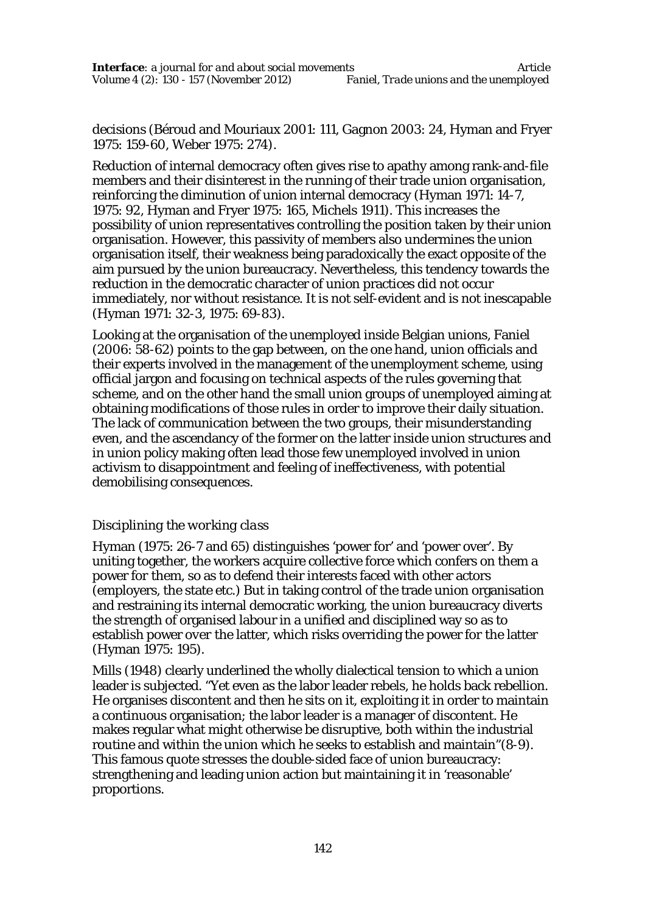decisions (Béroud and Mouriaux 2001: 111, Gagnon 2003: 24, Hyman and Fryer 1975: 159-60, Weber 1975: 274).

Reduction of internal democracy often gives rise to apathy among rank-and-file members and their disinterest in the running of their trade union organisation, reinforcing the diminution of union internal democracy (Hyman 1971: 14-7, 1975: 92, Hyman and Fryer 1975: 165, Michels 1911). This increases the possibility of union representatives controlling the position taken by their union organisation. However, this passivity of members also undermines the union organisation itself, their weakness being paradoxically the exact opposite of the aim pursued by the union bureaucracy. Nevertheless, this tendency towards the reduction in the democratic character of union practices did not occur immediately, nor without resistance. It is not self-evident and is not inescapable (Hyman 1971: 32-3, 1975: 69-83).

Looking at the organisation of the unemployed inside Belgian unions, Faniel (2006: 58-62) points to the gap between, on the one hand, union officials and their experts involved in the management of the unemployment scheme, using official jargon and focusing on technical aspects of the rules governing that scheme, and on the other hand the small union groups of unemployed aiming at obtaining modifications of those rules in order to improve their daily situation. The lack of communication between the two groups, their misunderstanding even, and the ascendancy of the former on the latter inside union structures and in union policy making often lead those few unemployed involved in union activism to disappointment and feeling of ineffectiveness, with potential demobilising consequences.

# *Disciplining the working class*

Hyman (1975: 26-7 and 65) distinguishes 'power for' and 'power over'. By uniting together, the workers acquire collective force which confers on them a power *for* them, so as to defend their interests faced with other actors (employers, the state etc.) But in taking control of the trade union organisation and restraining its internal democratic working, the union bureaucracy diverts the strength of organised labour in a unified and disciplined way so as to establish power *over* the latter, which risks overriding the power *for* the latter (Hyman 1975: 195).

Mills (1948) clearly underlined the wholly dialectical tension to which a union leader is subjected. "Yet even as the labor leader rebels, he holds back rebellion. He organises discontent and then he sits on it, exploiting it in order to maintain a continuous organisation; the labor leader is a manager of discontent. He makes regular what might otherwise be disruptive, both within the industrial routine and within the union which he seeks to establish and maintain"(8-9). This famous quote stresses the double-sided face of union bureaucracy: strengthening and leading union action but maintaining it in 'reasonable' proportions.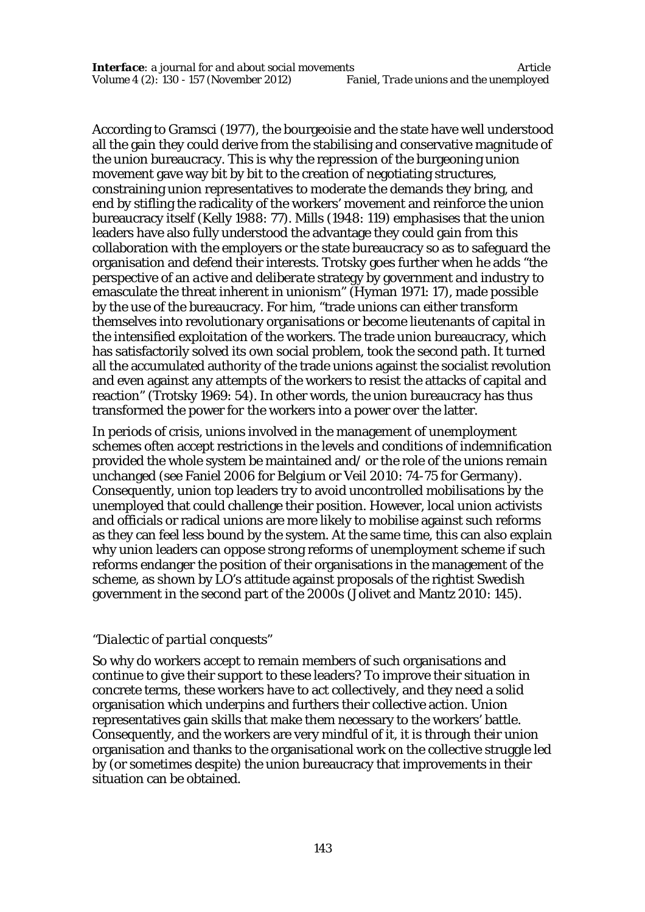According to Gramsci (1977), the bourgeoisie and the state have well understood all the gain they could derive from the stabilising and conservative magnitude of the union bureaucracy. This is why the repression of the burgeoning union movement gave way bit by bit to the creation of negotiating structures, constraining union representatives to moderate the demands they bring, and end by stifling the radicality of the workers' movement and reinforce the union bureaucracy itself (Kelly 1988: 77). Mills (1948: 119) emphasises that the union leaders have also fully understood the advantage they could gain from this collaboration with the employers or the state bureaucracy so as to safeguard the organisation and defend their interests. Trotsky goes further when he adds "the perspective of an *active* and *deliberate* strategy by government and industry to emasculate the threat inherent in unionism" (Hyman 1971: 17), made possible by the use of the bureaucracy. For him, "trade unions can either transform themselves into revolutionary organisations or become lieutenants of capital in the intensified exploitation of the workers. The trade union bureaucracy, which has satisfactorily solved its own social problem, took the second path. It turned all the accumulated authority of the trade unions against the socialist revolution and even against any attempts of the workers to resist the attacks of capital and reaction" (Trotsky 1969: 54). In other words, the union bureaucracy has thus transformed the power *for* the workers into a power *over* the latter.

In periods of crisis, unions involved in the management of unemployment schemes often accept restrictions in the levels and conditions of indemnification provided the whole system be maintained and/ or the role of the unions remain unchanged (see Faniel 2006 for Belgium or Veil 2010: 74-75 for Germany). Consequently, union top leaders try to avoid uncontrolled mobilisations by the unemployed that could challenge their position. However, local union activists and officials or radical unions are more likely to mobilise against such reforms as they can feel less bound by the system. At the same time, this can also explain why union leaders can oppose strong reforms of unemployment scheme if such reforms endanger the position of their organisations in the management of the scheme, as shown by LO's attitude against proposals of the rightist Swedish government in the second part of the 2000s (Jolivet and Mantz 2010: 145).

#### *"Dialectic of partial conquests"*

So why do workers accept to remain members of such organisations and continue to give their support to these leaders? To improve their situation in concrete terms, these workers have to act collectively, and they need a solid organisation which underpins and furthers their collective action. Union representatives gain skills that make them necessary to the workers' battle. Consequently, and the workers are very mindful of it, it is through their union organisation and thanks to the organisational work on the collective struggle led by (or sometimes despite) the union bureaucracy that improvements in their situation can be obtained.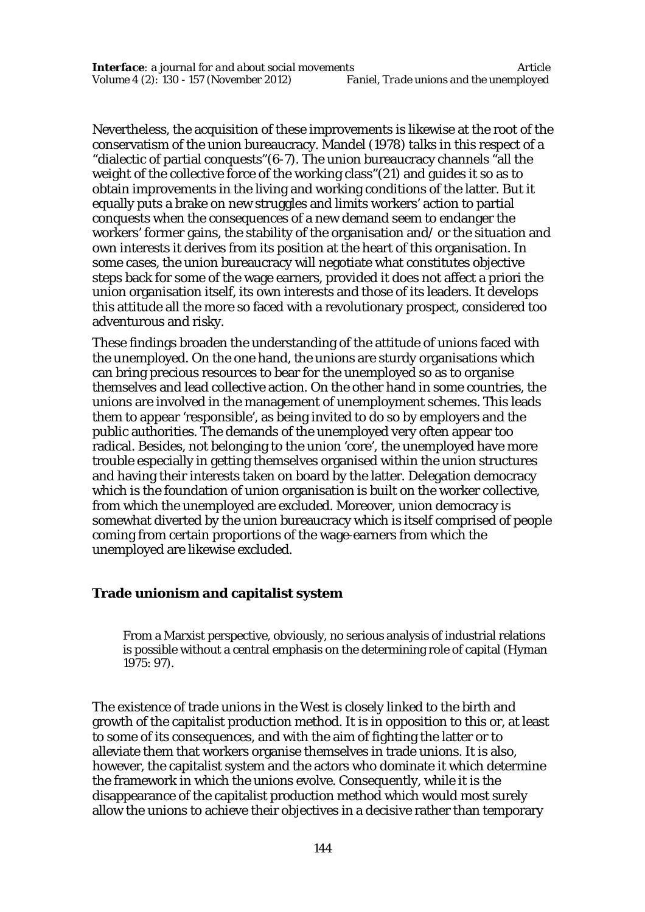Nevertheless, the acquisition of these improvements is likewise at the root of the conservatism of the union bureaucracy. Mandel (1978) talks in this respect of a "dialectic of partial conquests"(6-7). The union bureaucracy channels "all the weight of the collective force of the working class"(21) and guides it so as to obtain improvements in the living and working conditions of the latter. But it equally puts a brake on new struggles and limits workers' action to partial conquests when the consequences of a new demand seem to endanger the workers' former gains, the stability of the organisation and/ or the situation and own interests it derives from its position at the heart of this organisation. In some cases, the union bureaucracy will negotiate what constitutes objective steps back for some of the wage earners, provided it does not affect a priori the union organisation itself, its own interests and those of its leaders. It develops this attitude all the more so faced with a revolutionary prospect, considered too adventurous and risky.

These findings broaden the understanding of the attitude of unions faced with the unemployed. On the one hand, the unions are sturdy organisations which can bring precious resources to bear for the unemployed so as to organise themselves and lead collective action. On the other hand in some countries, the unions are involved in the management of unemployment schemes. This leads them to appear 'responsible', as being invited to do so by employers and the public authorities. The demands of the unemployed very often appear too radical. Besides, not belonging to the union 'core', the unemployed have more trouble especially in getting themselves organised within the union structures and having their interests taken on board by the latter. Delegation democracy which is the foundation of union organisation is built on the worker collective, from which the unemployed are excluded. Moreover, union democracy is somewhat diverted by the union bureaucracy which is itself comprised of people coming from certain proportions of the wage-earners from which the unemployed are likewise excluded.

#### **Trade unionism and capitalist system**

From a Marxist perspective, obviously, no serious analysis of industrial relations is possible without a central emphasis on the determining role of capital (Hyman 1975: 97).

The existence of trade unions in the West is closely linked to the birth and growth of the capitalist production method. It is in opposition to this or, at least to some of its consequences, and with the aim of fighting the latter or to alleviate them that workers organise themselves in trade unions. It is also, however, the capitalist system and the actors who dominate it which determine the framework in which the unions evolve. Consequently, while it is the disappearance of the capitalist production method which would most surely allow the unions to achieve their objectives in a decisive rather than temporary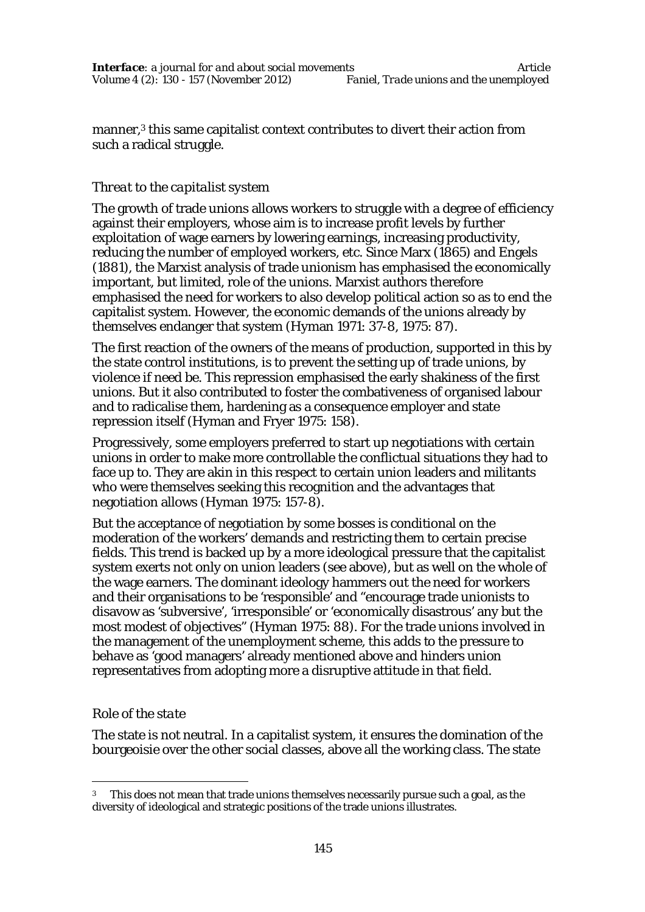manner,<sup>3</sup> this same capitalist context contributes to divert their action from such a radical struggle.

# *Threat to the capitalist system*

The growth of trade unions allows workers to struggle with a degree of efficiency against their employers, whose aim is to increase profit levels by further exploitation of wage earners by lowering earnings, increasing productivity, reducing the number of employed workers, etc. Since Marx (1865) and Engels (1881), the Marxist analysis of trade unionism has emphasised the economically important, but limited, role of the unions. Marxist authors therefore emphasised the need for workers to also develop political action so as to end the capitalist system. However, the economic demands of the unions already by themselves endanger that system (Hyman 1971: 37-8, 1975: 87).

The first reaction of the owners of the means of production, supported in this by the state control institutions, is to prevent the setting up of trade unions, by violence if need be. This repression emphasised the early shakiness of the first unions. But it also contributed to foster the combativeness of organised labour and to radicalise them, hardening as a consequence employer and state repression itself (Hyman and Fryer 1975: 158).

Progressively, some employers preferred to start up negotiations with certain unions in order to make more controllable the conflictual situations they had to face up to. They are akin in this respect to certain union leaders and militants who were themselves seeking this recognition and the advantages that negotiation allows (Hyman 1975: 157-8).

But the acceptance of negotiation by some bosses is conditional on the moderation of the workers' demands and restricting them to certain precise fields. This trend is backed up by a more ideological pressure that the capitalist system exerts not only on union leaders (see above), but as well on the whole of the wage earners. The dominant ideology hammers out the need for workers and their organisations to be 'responsible' and "encourage trade unionists to disavow as 'subversive', 'irresponsible' or 'economically disastrous' any but the most modest of objectives" (Hyman 1975: 88). For the trade unions involved in the management of the unemployment scheme, this adds to the pressure to behave as 'good managers' already mentioned above and hinders union representatives from adopting more a disruptive attitude in that field.

# *Role of the state*

 $\overline{a}$ 

The state is not neutral. In a capitalist system, it ensures the domination of the bourgeoisie over the other social classes, above all the working class. The state

 $3$  This does not mean that trade unions themselves necessarily pursue such a goal, as the diversity of ideological and strategic positions of the trade unions illustrates.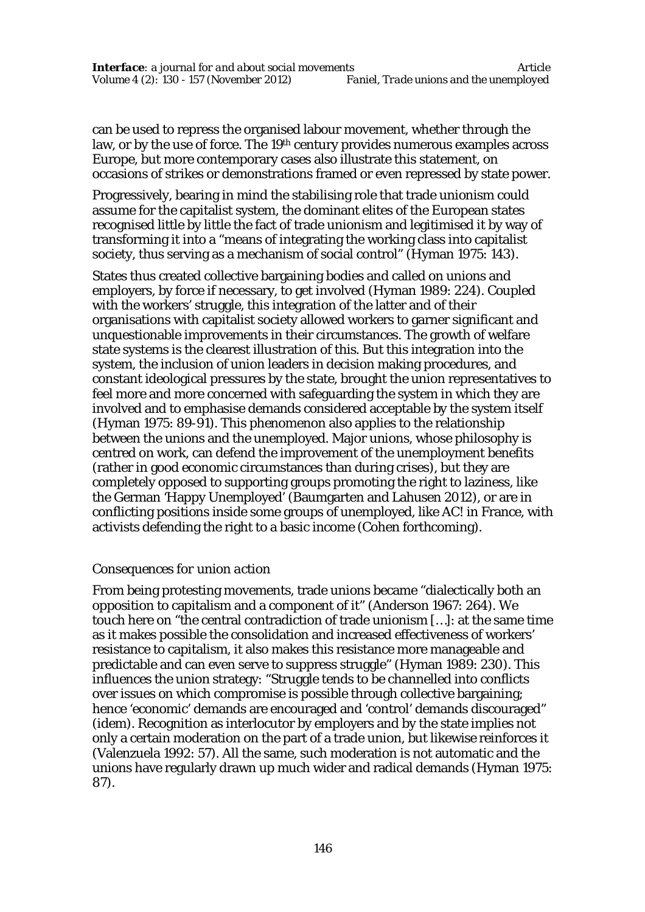can be used to repress the organised labour movement, whether through the law, or by the use of force. The 19th century provides numerous examples across Europe, but more contemporary cases also illustrate this statement, on occasions of strikes or demonstrations framed or even repressed by state power.

Progressively, bearing in mind the stabilising role that trade unionism could assume for the capitalist system, the dominant elites of the European states recognised little by little the fact of trade unionism and legitimised it by way of transforming it into a "means of integrating the working class into capitalist society, thus serving as a mechanism of social control" (Hyman 1975: 143).

States thus created collective bargaining bodies and called on unions and employers, by force if necessary, to get involved (Hyman 1989: 224). Coupled with the workers' struggle, this integration of the latter and of their organisations with capitalist society allowed workers to garner significant and unquestionable improvements in their circumstances. The growth of welfare state systems is the clearest illustration of this. But this integration into the system, the inclusion of union leaders in decision making procedures, and constant ideological pressures by the state, brought the union representatives to feel more and more concerned with safeguarding the system in which they are involved and to emphasise demands considered acceptable by the system itself (Hyman 1975: 89-91). This phenomenon also applies to the relationship between the unions and the unemployed. Major unions, whose philosophy is centred on work, can defend the improvement of the unemployment benefits (rather in good economic circumstances than during crises), but they are completely opposed to supporting groups promoting the right to laziness, like the German 'Happy Unemployed' (Baumgarten and Lahusen 2012), or are in conflicting positions inside some groups of unemployed, like AC! in France, with activists defending the right to a basic income (Cohen forthcoming).

#### *Consequences for union action*

From being protesting movements, trade unions became "dialectically both an opposition to capitalism and a component of it" (Anderson 1967: 264). We touch here on "the central contradiction of trade unionism […]: at the same time as it makes possible the consolidation and increased effectiveness of workers' resistance to capitalism, it also makes this resistance more manageable and predictable and can even serve to suppress struggle" (Hyman 1989: 230). This influences the union strategy: "Struggle tends to be channelled into conflicts over issues on which compromise is possible through collective bargaining; hence 'economic' demands are encouraged and 'control' demands discouraged" (idem). Recognition as interlocutor by employers and by the state implies not only a certain moderation on the part of a trade union, but likewise reinforces it (Valenzuela 1992: 57). All the same, such moderation is not automatic and the unions have regularly drawn up much wider and radical demands (Hyman 1975: 87).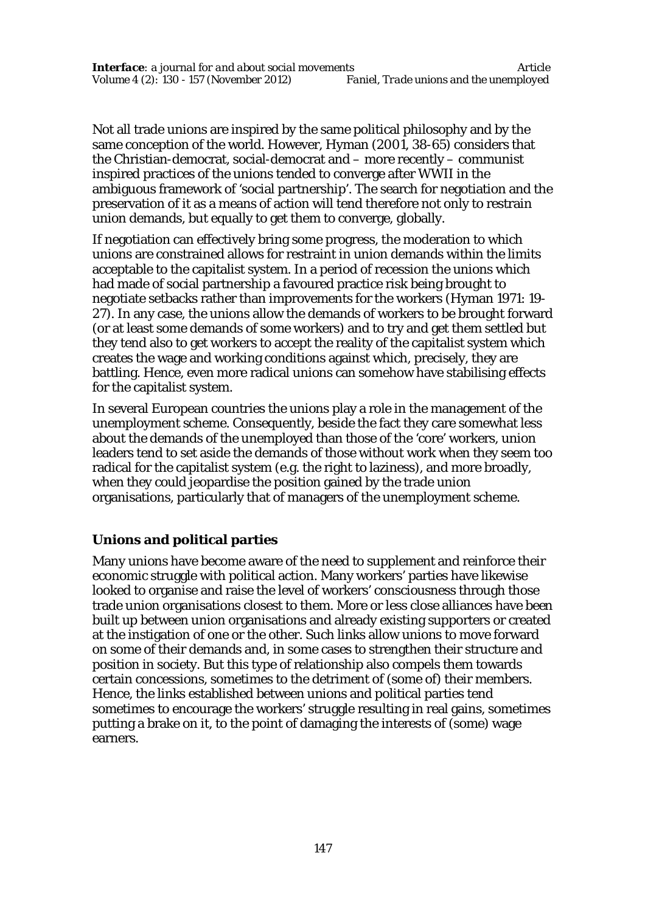Not all trade unions are inspired by the same political philosophy and by the same conception of the world. However, Hyman (2001, 38-65) considers that the Christian-democrat, social-democrat and – more recently – communist inspired practices of the unions tended to converge after WWII in the ambiguous framework of 'social partnership'. The search for negotiation and the preservation of it as a means of action will tend therefore not only to restrain union demands, but equally to get them to converge, globally.

If negotiation can effectively bring some progress, the moderation to which unions are constrained allows for restraint in union demands within the limits acceptable to the capitalist system. In a period of recession the unions which had made of social partnership a favoured practice risk being brought to negotiate setbacks rather than improvements for the workers (Hyman 1971: 19- 27). In any case, the unions allow the demands of workers to be brought forward (or at least *some* demands of *some* workers) and to try and get them settled but they tend also to get workers to accept the reality of the capitalist system which creates the wage and working conditions against which, precisely, they are battling. Hence, even more radical unions can somehow have stabilising effects for the capitalist system.

In several European countries the unions play a role in the management of the unemployment scheme. Consequently, beside the fact they care somewhat less about the demands of the unemployed than those of the 'core' workers, union leaders tend to set aside the demands of those without work when they seem too radical for the capitalist system (e.g. the right to laziness), and more broadly, when they could jeopardise the position gained by the trade union organisations, particularly that of managers of the unemployment scheme.

# **Unions and political parties**

Many unions have become aware of the need to supplement and reinforce their economic struggle with political action. Many workers' parties have likewise looked to organise and raise the level of workers' consciousness through those trade union organisations closest to them. More or less close alliances have been built up between union organisations and already existing supporters or created at the instigation of one or the other. Such links allow unions to move forward on some of their demands and, in some cases to strengthen their structure and position in society. But this type of relationship also compels them towards certain concessions, sometimes to the detriment of (some of) their members. Hence, the links established between unions and political parties tend sometimes to encourage the workers' struggle resulting in real gains, sometimes putting a brake on it, to the point of damaging the interests of (some) wage earners.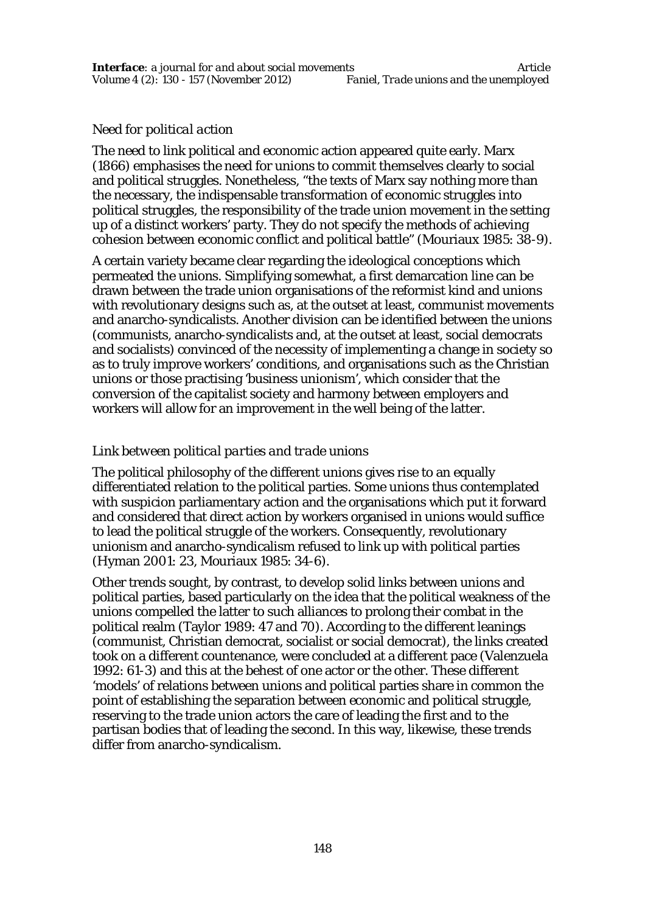### *Need for political action*

The need to link political and economic action appeared quite early. Marx (1866) emphasises the need for unions to commit themselves clearly to social and political struggles. Nonetheless, "the texts of Marx say nothing more than the necessary, the indispensable transformation of economic struggles into political struggles, the responsibility of the trade union movement in the setting up of a distinct workers' party. They do not specify the methods of achieving cohesion between economic conflict and political battle" (Mouriaux 1985: 38-9).

A certain variety became clear regarding the ideological conceptions which permeated the unions. Simplifying somewhat, a first demarcation line can be drawn between the trade union organisations of the reformist kind and unions with revolutionary designs such as, at the outset at least, communist movements and anarcho-syndicalists. Another division can be identified between the unions (communists, anarcho-syndicalists and, at the outset at least, social democrats and socialists) convinced of the necessity of implementing a change in society so as to truly improve workers' conditions, and organisations such as the Christian unions or those practising 'business unionism', which consider that the conversion of the capitalist society and harmony between employers and workers will allow for an improvement in the well being of the latter.

# *Link between political parties and trade unions*

The political philosophy of the different unions gives rise to an equally differentiated relation to the political parties. Some unions thus contemplated with suspicion parliamentary action and the organisations which put it forward and considered that direct action by workers organised in unions would suffice to lead the political struggle of the workers. Consequently, revolutionary unionism and anarcho-syndicalism refused to link up with political parties (Hyman 2001: 23, Mouriaux 1985: 34-6).

Other trends sought, by contrast, to develop solid links between unions and political parties, based particularly on the idea that the political weakness of the unions compelled the latter to such alliances to prolong their combat in the political realm (Taylor 1989: 47 and 70). According to the different leanings (communist, Christian democrat, socialist or social democrat), the links created took on a different countenance, were concluded at a different pace (Valenzuela 1992: 61-3) and this at the behest of one actor or the other. These different 'models' of relations between unions and political parties share in common the point of establishing the separation between economic and political struggle, reserving to the trade union actors the care of leading the first and to the partisan bodies that of leading the second. In this way, likewise, these trends differ from anarcho-syndicalism.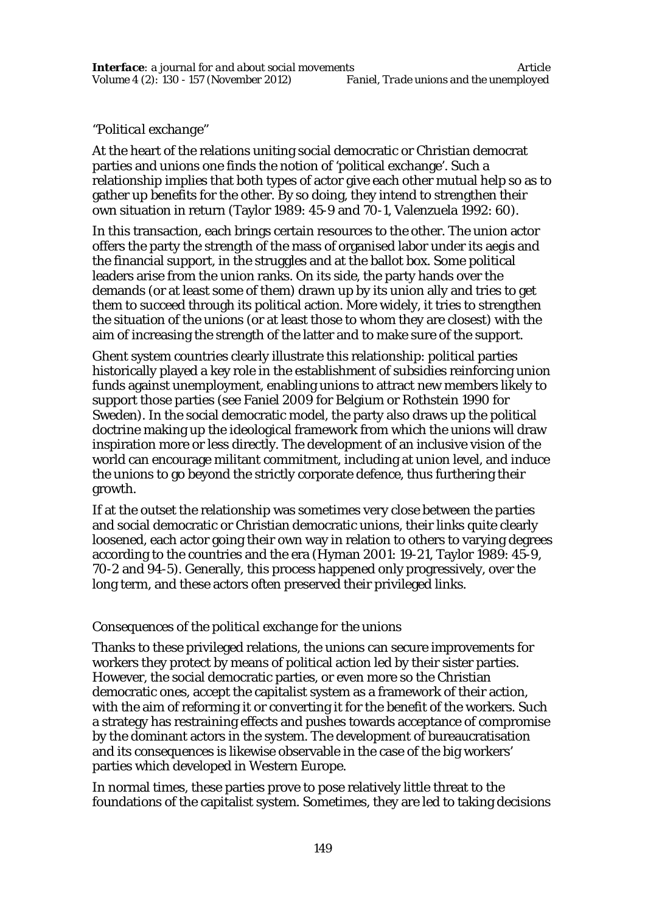### *"Political exchange"*

At the heart of the relations uniting social democratic or Christian democrat parties and unions one finds the notion of 'political exchange'. Such a relationship implies that both types of actor give each other mutual help so as to gather up benefits for the other. By so doing, they intend to strengthen their own situation in return (Taylor 1989: 45-9 and 70-1, Valenzuela 1992: 60).

In this transaction, each brings certain resources to the other. The union actor offers the party the strength of the mass of organised labor under its aegis and the financial support, in the struggles and at the ballot box. Some political leaders arise from the union ranks. On its side, the party hands over the demands (or at least some of them) drawn up by its union ally and tries to get them to succeed through its political action. More widely, it tries to strengthen the situation of the unions (or at least those to whom they are closest) with the aim of increasing the strength of the latter and to make sure of the support.

Ghent system countries clearly illustrate this relationship: political parties historically played a key role in the establishment of subsidies reinforcing union funds against unemployment, enabling unions to attract new members likely to support those parties (see Faniel 2009 for Belgium or Rothstein 1990 for Sweden). In the social democratic model, the party also draws up the political doctrine making up the ideological framework from which the unions will draw inspiration more or less directly. The development of an inclusive vision of the world can encourage militant commitment, including at union level, and induce the unions to go beyond the strictly corporate defence, thus furthering their growth.

If at the outset the relationship was sometimes very close between the parties and social democratic or Christian democratic unions, their links quite clearly loosened, each actor going their own way in relation to others to varying degrees according to the countries and the era (Hyman 2001: 19-21, Taylor 1989: 45-9, 70-2 and 94-5). Generally, this process happened only progressively, over the long term, and these actors often preserved their privileged links.

#### *Consequences of the political exchange for the unions*

Thanks to these privileged relations, the unions can secure improvements for workers they protect by means of political action led by their sister parties. However, the social democratic parties, or even more so the Christian democratic ones, accept the capitalist system as a framework of their action, with the aim of reforming it or converting it for the benefit of the workers. Such a strategy has restraining effects and pushes towards acceptance of compromise by the dominant actors in the system. The development of bureaucratisation and its consequences is likewise observable in the case of the big workers' parties which developed in Western Europe.

In normal times, these parties prove to pose relatively little threat to the foundations of the capitalist system. Sometimes, they are led to taking decisions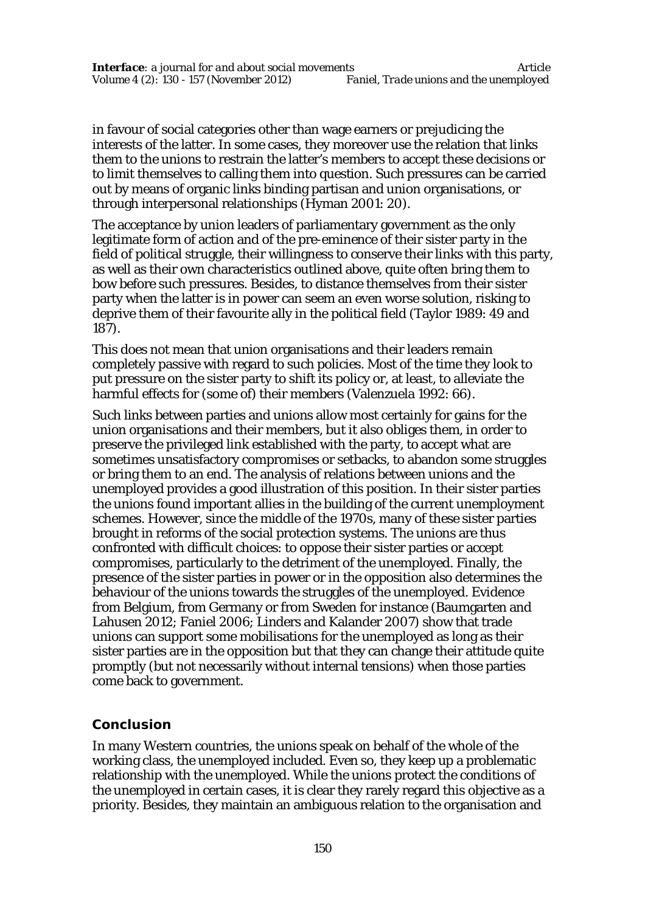in favour of social categories other than wage earners or prejudicing the interests of the latter. In some cases, they moreover use the relation that links them to the unions to restrain the latter's members to accept these decisions or to limit themselves to calling them into question. Such pressures can be carried out by means of organic links binding partisan and union organisations, or through interpersonal relationships (Hyman 2001: 20).

The acceptance by union leaders of parliamentary government as the only legitimate form of action and of the pre-eminence of their sister party in the field of political struggle, their willingness to conserve their links with this party, as well as their own characteristics outlined above, quite often bring them to bow before such pressures. Besides, to distance themselves from their sister party when the latter is in power can seem an even worse solution, risking to deprive them of their favourite ally in the political field (Taylor 1989: 49 and 187).

This does not mean that union organisations and their leaders remain completely passive with regard to such policies. Most of the time they look to put pressure on the sister party to shift its policy or, at least, to alleviate the harmful effects for (some of) their members (Valenzuela 1992: 66).

Such links between parties and unions allow most certainly for gains for the union organisations and their members, but it also obliges them, in order to preserve the privileged link established with the party, to accept what are sometimes unsatisfactory compromises or setbacks, to abandon some struggles or bring them to an end. The analysis of relations between unions and the unemployed provides a good illustration of this position. In their sister parties the unions found important allies in the building of the current unemployment schemes. However, since the middle of the 1970s, many of these sister parties brought in reforms of the social protection systems. The unions are thus confronted with difficult choices: to oppose their sister parties or accept compromises, particularly to the detriment of the unemployed. Finally, the presence of the sister parties in power or in the opposition also determines the behaviour of the unions towards the struggles of the unemployed. Evidence from Belgium, from Germany or from Sweden for instance (Baumgarten and Lahusen 2012; Faniel 2006; Linders and Kalander 2007) show that trade unions can support some mobilisations for the unemployed as long as their sister parties are in the opposition but that they can change their attitude quite promptly (but not necessarily without internal tensions) when those parties come back to government.

# **Conclusion**

In many Western countries, the unions speak on behalf of the whole of the working class, the unemployed included. Even so, they keep up a problematic relationship with the unemployed. While the unions protect the conditions of the unemployed in certain cases, it is clear they rarely regard this objective as a priority. Besides, they maintain an ambiguous relation to the organisation and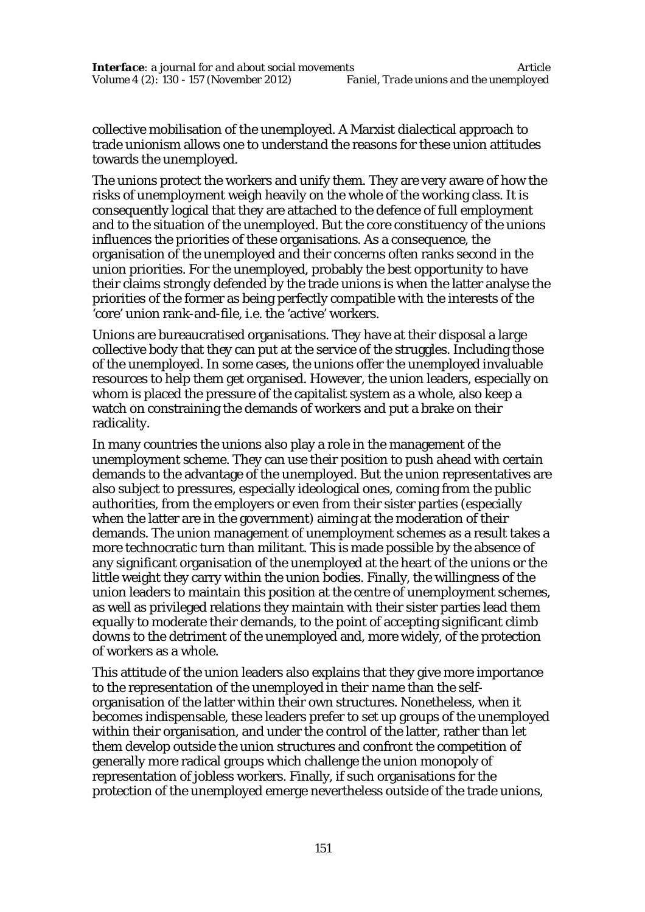collective mobilisation of the unemployed. A Marxist dialectical approach to trade unionism allows one to understand the reasons for these union attitudes towards the unemployed.

The unions protect the workers and unify them. They are very aware of how the risks of unemployment weigh heavily on the whole of the working class. It is consequently logical that they are attached to the defence of full employment and to the situation of the unemployed. But the core constituency of the unions influences the priorities of these organisations. As a consequence, the organisation of the unemployed and their concerns often ranks second in the union priorities. For the unemployed, probably the best opportunity to have their claims strongly defended by the trade unions is when the latter analyse the priorities of the former as being perfectly compatible with the interests of the 'core' union rank-and-file, i.e. the 'active' workers.

Unions are bureaucratised organisations. They have at their disposal a large collective body that they can put at the service of the struggles. Including those of the unemployed. In some cases, the unions offer the unemployed invaluable resources to help them get organised. However, the union leaders, especially on whom is placed the pressure of the capitalist system as a whole, also keep a watch on constraining the demands of workers and put a brake on their radicality.

In many countries the unions also play a role in the management of the unemployment scheme. They can use their position to push ahead with certain demands to the advantage of the unemployed. But the union representatives are also subject to pressures, especially ideological ones, coming from the public authorities, from the employers or even from their sister parties (especially when the latter are in the government) aiming at the moderation of their demands. The union management of unemployment schemes as a result takes a more technocratic turn than militant. This is made possible by the absence of any significant organisation of the unemployed at the heart of the unions or the little weight they carry within the union bodies. Finally, the willingness of the union leaders to maintain this position at the centre of unemployment schemes, as well as privileged relations they maintain with their sister parties lead them equally to moderate their demands, to the point of accepting significant climb downs to the detriment of the unemployed and, more widely, of the protection of workers as a whole.

This attitude of the union leaders also explains that they give more importance to the representation of the unemployed *in their name* than the selforganisation of the latter within their own structures. Nonetheless, when it becomes indispensable, these leaders prefer to set up groups of the unemployed within their organisation, and under the control of the latter, rather than let them develop outside the union structures and confront the competition of generally more radical groups which challenge the union monopoly of representation of jobless workers. Finally, if such organisations for the protection of the unemployed emerge nevertheless outside of the trade unions,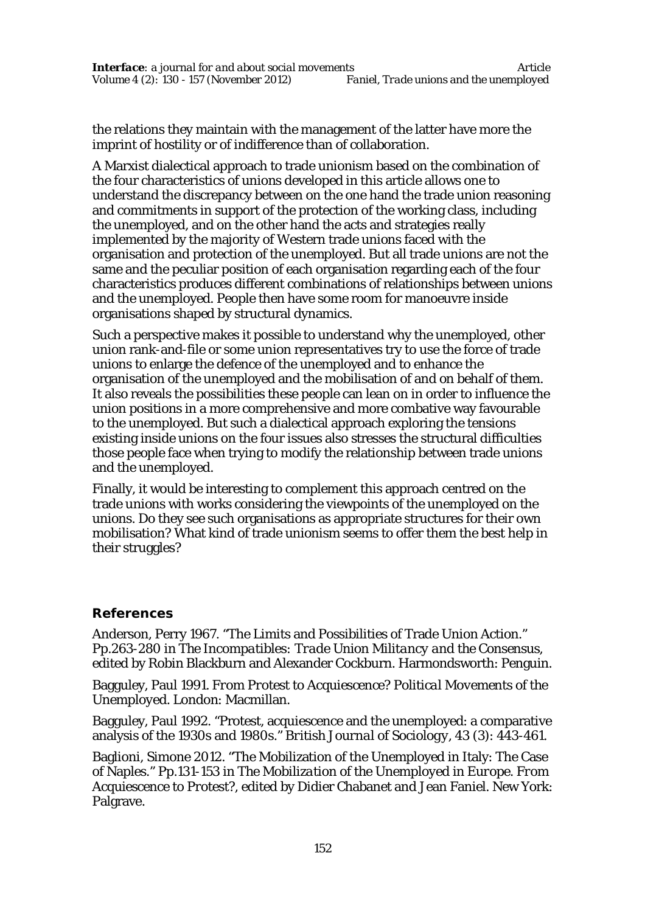the relations they maintain with the management of the latter have more the imprint of hostility or of indifference than of collaboration.

A Marxist dialectical approach to trade unionism based on the combination of the four characteristics of unions developed in this article allows one to understand the discrepancy between on the one hand the trade union reasoning and commitments in support of the protection of the working class, including the unemployed, and on the other hand the acts and strategies really implemented by the majority of Western trade unions faced with the organisation and protection of the unemployed. But all trade unions are not the same and the peculiar position of each organisation regarding each of the four characteristics produces different combinations of relationships between unions and the unemployed. People then have some room for manoeuvre inside organisations shaped by structural dynamics.

Such a perspective makes it possible to understand why the unemployed, other union rank-and-file or some union representatives try to use the force of trade unions to enlarge the defence of the unemployed and to enhance the organisation of the unemployed and the mobilisation of and on behalf of them. It also reveals the possibilities these people can lean on in order to influence the union positions in a more comprehensive and more combative way favourable to the unemployed. But such a dialectical approach exploring the tensions existing inside unions on the four issues also stresses the structural difficulties those people face when trying to modify the relationship between trade unions and the unemployed.

Finally, it would be interesting to complement this approach centred on the trade unions with works considering the viewpoints of the unemployed on the unions. Do they see such organisations as appropriate structures for their own mobilisation? What kind of trade unionism seems to offer them the best help in their struggles?

# **References**

Anderson, Perry 1967. "The Limits and Possibilities of Trade Union Action." Pp.263-280 in *The Incompatibles: Trade Union Militancy and the Consensus*, edited by Robin Blackburn and Alexander Cockburn. Harmondsworth: Penguin.

Bagguley, Paul 1991. *From Protest to Acquiescence? Political Movements of the Unemployed*. London: Macmillan.

Bagguley, Paul 1992. "Protest, acquiescence and the unemployed: a comparative analysis of the 1930s and 1980s." *British Journal of Sociology, 43 (3)*: 443-461.

Baglioni, Simone 2012. "The Mobilization of the Unemployed in Italy: The Case of Naples." Pp.131-153 in *The Mobilization of the Unemployed in Europe. From Acquiescence to Protest?*, edited by Didier Chabanet and Jean Faniel. New York: Palgrave.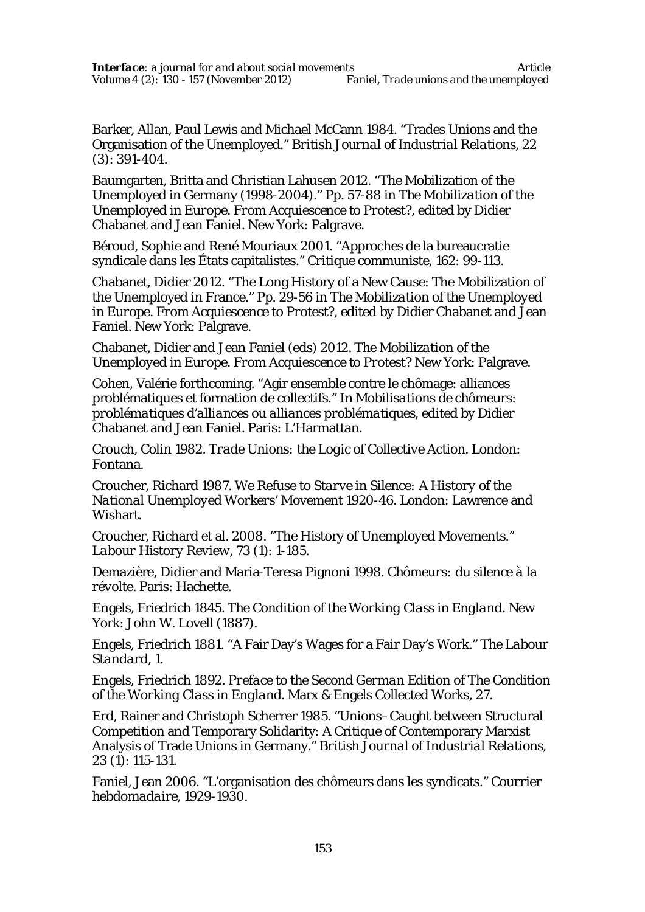Barker, Allan, Paul Lewis and Michael McCann 1984. "Trades Unions and the Organisation of the Unemployed." *British Journal of Industrial Relations, 22 (3)*: 391-404.

Baumgarten, Britta and Christian Lahusen 2012. "The Mobilization of the Unemployed in Germany (1998-2004)." Pp. 57-88 in *The Mobilization of the Unemployed in Europe. From Acquiescence to Protest?*, edited by Didier Chabanet and Jean Faniel. New York: Palgrave.

Béroud, Sophie and René Mouriaux 2001. "Approches de la bureaucratie syndicale dans les États capitalistes." *Critique communiste, 162*: 99-113.

Chabanet, Didier 2012. "The Long History of a New Cause: The Mobilization of the Unemployed in France." Pp. 29-56 in *The Mobilization of the Unemployed in Europe. From Acquiescence to Protest?*, edited by Didier Chabanet and Jean Faniel. New York: Palgrave.

Chabanet, Didier and Jean Faniel (eds) 2012. *The Mobilization of the Unemployed in Europe. From Acquiescence to Protest?* New York: Palgrave.

Cohen, Valérie forthcoming. "Agir ensemble contre le chômage: alliances problématiques et formation de collectifs." In *Mobilisations de chômeurs: problématiques d'alliances ou alliances problématiques*, edited by Didier Chabanet and Jean Faniel. Paris: L'Harmattan.

Crouch, Colin 1982. *Trade Unions: the Logic of Collective Action*. London: Fontana.

Croucher, Richard 1987. *We Refuse to Starve in Silence: A History of the National Unemployed Workers' Movement 1920-46*. London: Lawrence and Wishart.

Croucher, Richard et al. 2008. "The History of Unemployed Movements." *Labour History Review, 73 (1)*: 1-185.

Demazière, Didier and Maria-Teresa Pignoni 1998. *Chômeurs: du silence à la révolte*. Paris: Hachette.

Engels, Friedrich 1845. *The Condition of the Working Class in England*. New York: John W. Lovell (1887).

Engels, Friedrich 1881. "A Fair Day's Wages for a Fair Day's Work." *The Labour Standard, 1*.

Engels, Friedrich 1892. *Preface to the Second German Edition of The Condition of the Working Class in England*. Marx & Engels Collected Works, 27.

Erd, Rainer and Christoph Scherrer 1985. "Unions–Caught between Structural Competition and Temporary Solidarity: A Critique of Contemporary Marxist Analysis of Trade Unions in Germany." *British Journal of Industrial Relations, 23 (1)*: 115-131.

Faniel, Jean 2006. "L'organisation des chômeurs dans les syndicats." *Courrier hebdomadaire, 1929-1930.*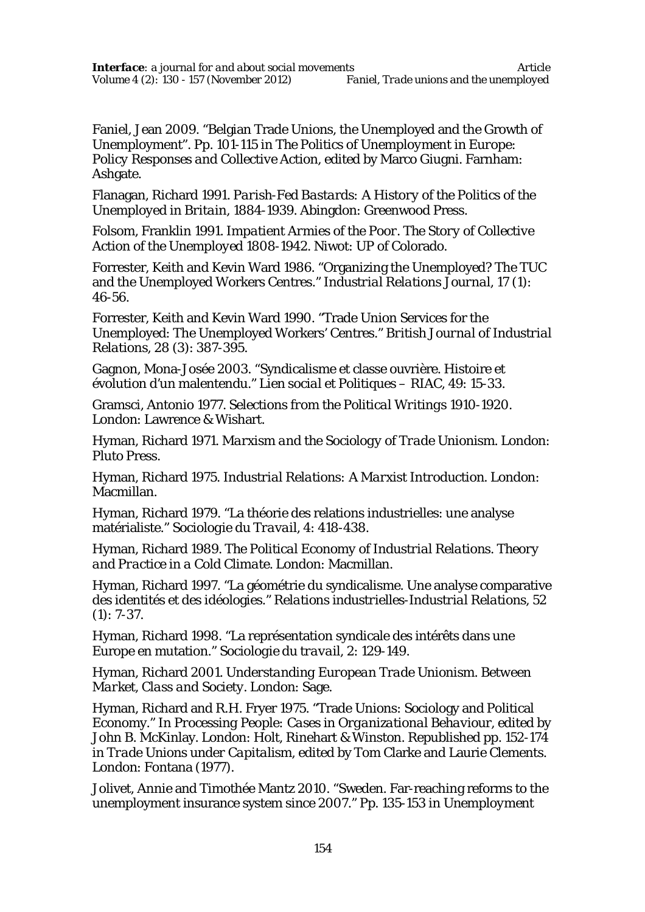Faniel, Jean 2009. "Belgian Trade Unions, the Unemployed and the Growth of Unemployment". Pp. 101-115 in *The Politics of Unemployment in Europe: Policy Responses and Collective Action*, edited by Marco Giugni. Farnham: Ashgate.

Flanagan, Richard 1991. *Parish-Fed Bastards: A History of the Politics of the Unemployed in Britain, 1884-1939*. Abingdon: Greenwood Press.

Folsom, Franklin 1991. *Impatient Armies of the Poor. The Story of Collective Action of the Unemployed 1808-1942*. Niwot: UP of Colorado.

Forrester, Keith and Kevin Ward 1986. "Organizing the Unemployed? The TUC and the Unemployed Workers Centres." *Industrial Relations Journal, 17 (1)*: 46-56.

Forrester, Keith and Kevin Ward 1990. "Trade Union Services for the Unemployed: The Unemployed Workers' Centres." *British Journal of Industrial Relations, 28 (3)*: 387-395.

Gagnon, Mona-Josée 2003. "Syndicalisme et classe ouvrière. Histoire et évolution d'un malentendu." *Lien social et Politiques – RIAC, 49*: 15-33.

Gramsci, Antonio 1977. *Selections from the Political Writings 1910-1920*. London: Lawrence & Wishart.

Hyman, Richard 1971. *Marxism and the Sociology of Trade Unionism*. London: Pluto Press.

Hyman, Richard 1975. *Industrial Relations: A Marxist Introduction*. London: Macmillan.

Hyman, Richard 1979. "La théorie des relations industrielles: une analyse matérialiste." *Sociologie du Travail, 4*: 418-438.

Hyman, Richard 1989. *The Political Economy of Industrial Relations. Theory and Practice in a Cold Climate*. London: Macmillan.

Hyman, Richard 1997. "La géométrie du syndicalisme. Une analyse comparative des identités et des idéologies." *Relations industrielles-Industrial Relations, 52 (1)*: 7-37.

Hyman, Richard 1998. "La représentation syndicale des intérêts dans une Europe en mutation." *Sociologie du travail, 2*: 129-149.

Hyman, Richard 2001. *Understanding European Trade Unionism. Between Market, Class and Society*. London: Sage.

Hyman, Richard and R.H. Fryer 1975. "Trade Unions: Sociology and Political Economy." In *Processing People: Cases in Organizational Behaviour*, edited by John B. McKinlay. London: Holt, Rinehart & Winston. Republished pp. 152-174 in *Trade Unions under Capitalism*, edited by Tom Clarke and Laurie Clements. London: Fontana (1977).

Jolivet, Annie and Timothée Mantz 2010. "Sweden. Far-reaching reforms to the unemployment insurance system since 2007." Pp. 135-153 in *Unemployment*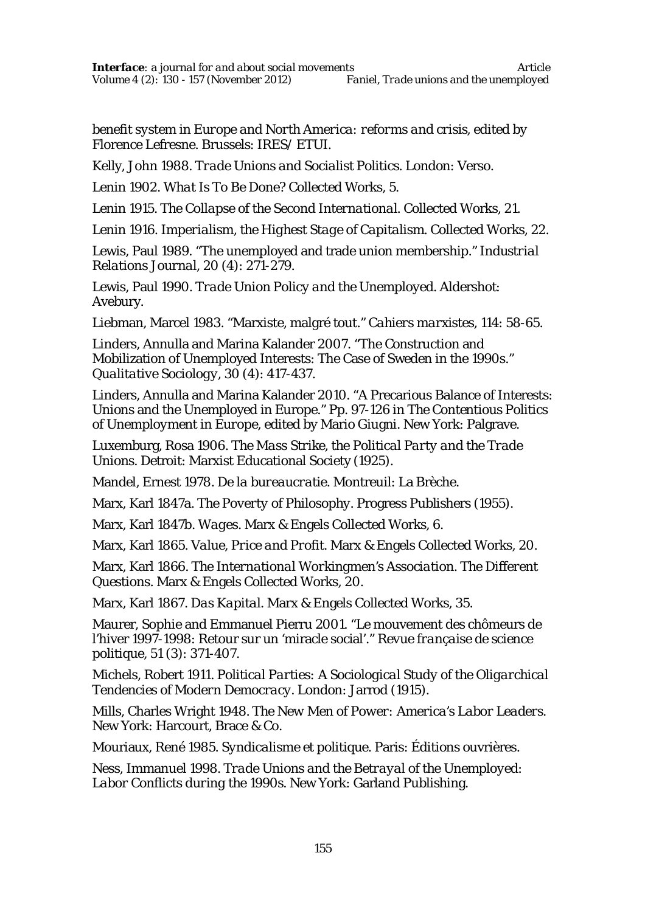*benefit system in Europe and North America: reforms and crisis*, edited by Florence Lefresne. Brussels: IRES/ ETUI.

Kelly, John 1988. *Trade Unions and Socialist Politics*. London: Verso.

Lenin 1902. *What Is To Be Done?* Collected Works, 5.

Lenin 1915. *The Collapse of the Second International*. Collected Works, 21.

Lenin 1916. *Imperialism, the Highest Stage of Capitalism*. Collected Works, 22.

Lewis, Paul 1989. "The unemployed and trade union membership." *Industrial Relations Journal, 20 (4)*: 271-279.

Lewis, Paul 1990. *Trade Union Policy and the Unemployed*. Aldershot: Avebury.

Liebman, Marcel 1983. "Marxiste, malgré tout." *Cahiers marxistes, 114*: 58-65.

Linders, Annulla and Marina Kalander 2007. "The Construction and Mobilization of Unemployed Interests: The Case of Sweden in the 1990s." *Qualitative Sociology, 30 (4)*: 417-437.

Linders, Annulla and Marina Kalander 2010. "A Precarious Balance of Interests: Unions and the Unemployed in Europe." Pp. 97-126 in *The Contentious Politics of Unemployment in Europe*, edited by Mario Giugni. New York: Palgrave.

Luxemburg, Rosa 1906. *The Mass Strike, the Political Party and the Trade Unions*. Detroit: Marxist Educational Society (1925).

Mandel, Ernest 1978. *De la bureaucratie*. Montreuil: La Brèche.

Marx, Karl 1847a. *The Poverty of Philosophy*. Progress Publishers (1955).

Marx, Karl 1847b. *Wages*. Marx & Engels Collected Works, 6.

Marx, Karl 1865. *Value, Price and Profit*. Marx & Engels Collected Works, 20.

Marx, Karl 1866. *The International Workingmen's Association. The Different Questions*. Marx & Engels Collected Works, 20.

Marx, Karl 1867. *Das Kapital*. Marx & Engels Collected Works, 35.

Maurer, Sophie and Emmanuel Pierru 2001. "Le mouvement des chômeurs de l'hiver 1997-1998: Retour sur un 'miracle social'." *Revue française de science politique, 51 (3)*: 371-407.

Michels, Robert 1911. *Political Parties: A Sociological Study of the Oligarchical Tendencies of Modern Democracy*. London: Jarrod (1915).

Mills, Charles Wright 1948. *The New Men of Power: America's Labor Leaders*. New York: Harcourt, Brace & Co.

Mouriaux, René 1985. *Syndicalisme et politique*. Paris: Éditions ouvrières.

Ness, Immanuel 1998. *Trade Unions and the Betrayal of the Unemployed: Labor Conflicts during the 1990s*. New York: Garland Publishing.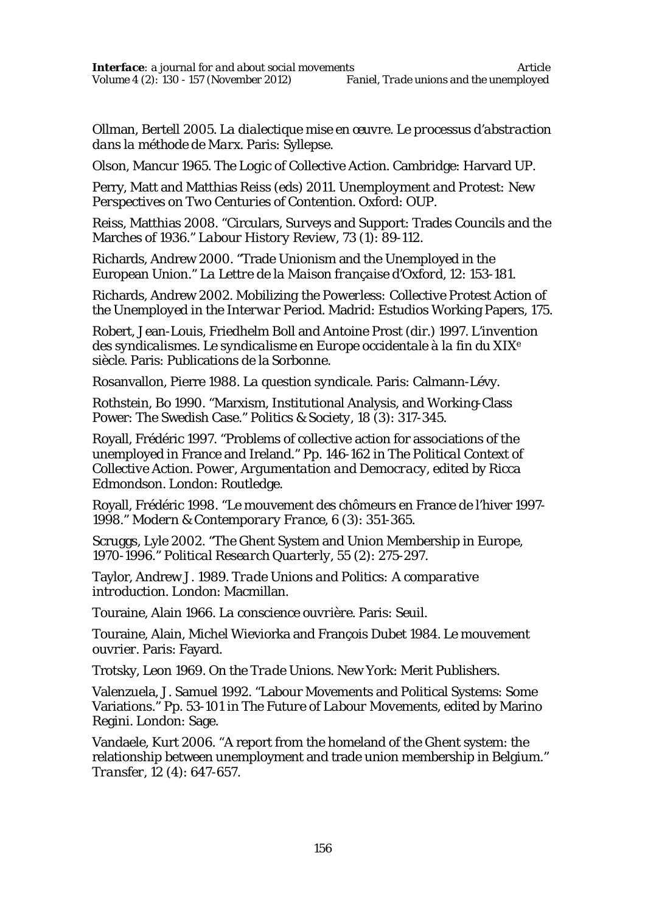Ollman, Bertell 2005. *La dialectique mise en œuvre. Le processus d'abstraction dans la méthode de Marx*. Paris: Syllepse.

Olson, Mancur 1965. *The Logic of Collective Action*. Cambridge: Harvard UP.

Perry, Matt and Matthias Reiss (eds) 2011. *Unemployment and Protest: New Perspectives on Two Centuries of Contention*. Oxford: OUP.

Reiss, Matthias 2008. "Circulars, Surveys and Support: Trades Councils and the Marches of 1936." *Labour History Review, 73 (1)*: 89-112.

Richards, Andrew 2000. "Trade Unionism and the Unemployed in the European Union." *La Lettre de la Maison française d'Oxford, 12*: 153-181.

Richards, Andrew 2002. *Mobilizing the Powerless: Collective Protest Action of the Unemployed in the Interwar Period*. Madrid: Estudios Working Papers, 175.

Robert, Jean-Louis, Friedhelm Boll and Antoine Prost (dir.) 1997. *L'invention des syndicalismes. Le syndicalisme en Europe occidentale à la fin du XIX<sup>e</sup> siècle*. Paris: Publications de la Sorbonne.

Rosanvallon, Pierre 1988. *La question syndicale*. Paris: Calmann-Lévy.

Rothstein, Bo 1990. "Marxism, Institutional Analysis, and Working-Class Power: The Swedish Case." *Politics & Society, 18 (3)*: 317-345.

Royall, Frédéric 1997. "Problems of collective action for associations of the unemployed in France and Ireland." Pp. 146-162 in *The Political Context of Collective Action. Power, Argumentation and Democracy*, edited by Ricca Edmondson. London: Routledge.

Royall, Frédéric 1998. "Le mouvement des chômeurs en France de l'hiver 1997- 1998." *Modern & Contemporary France, 6 (3)*: 351-365.

Scruggs, Lyle 2002. "The Ghent System and Union Membership in Europe, 1970-1996." *Political Research Quarterly, 55 (2)*: 275-297.

Taylor, Andrew J. 1989. *Trade Unions and Politics: A comparative introduction*. London: Macmillan.

Touraine, Alain 1966. *La conscience ouvrière*. Paris: Seuil.

Touraine, Alain, Michel Wieviorka and François Dubet 1984. *Le mouvement ouvrier*. Paris: Fayard.

Trotsky, Leon 1969. *On the Trade Unions*. New York: Merit Publishers.

Valenzuela, J. Samuel 1992. "Labour Movements and Political Systems: Some Variations." Pp. 53-101 in *The Future of Labour Movements*, edited by Marino Regini. London: Sage.

Vandaele, Kurt 2006. "A report from the homeland of the Ghent system: the relationship between unemployment and trade union membership in Belgium." *Transfer, 12 (4)*: 647-657.